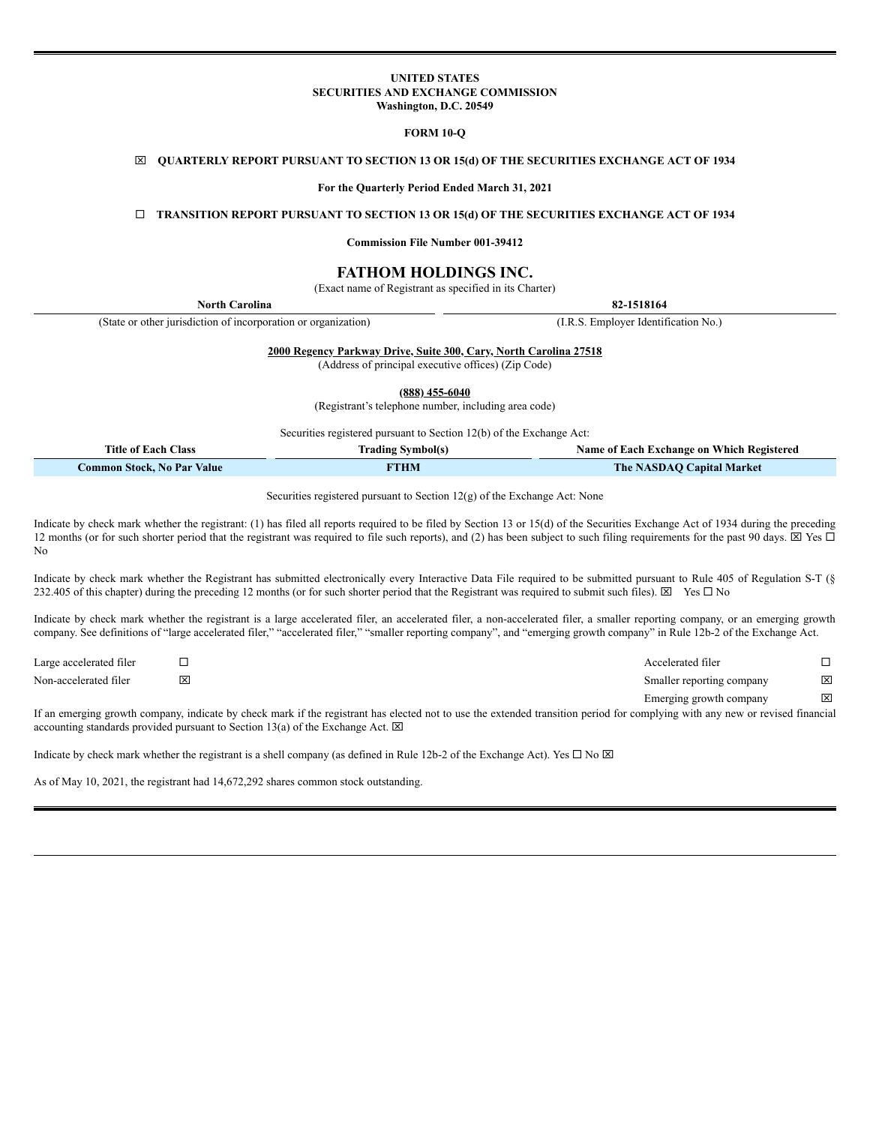### **UNITED STATES SECURITIES AND EXCHANGE COMMISSION Washington, D.C. 20549**

#### **FORM 10-Q**

### x **QUARTERLY REPORT PURSUANT TO SECTION 13 OR 15(d) OF THE SECURITIES EXCHANGE ACT OF 1934**

**For the Quarterly Period Ended March 31, 2021**

¨ **TRANSITION REPORT PURSUANT TO SECTION 13 OR 15(d) OF THE SECURITIES EXCHANGE ACT OF 1934**

**Commission File Number 001-39412**

## **FATHOM HOLDINGS INC.**

(Exact name of Registrant as specified in its Charter)

**North Carolina 82-1518164**

(State or other jurisdiction of incorporation or organization) (I.R.S. Employer Identification No.)

**2000 Regency Parkway Drive, Suite 300, Cary, North Carolina 27518**

(Address of principal executive offices) (Zip Code)

**(888) 455-6040**

(Registrant's telephone number, including area code)

Securities registered pursuant to Section 12(b) of the Exchange Act:

| <b>Title of Each Class</b> | <b>frading Symbol(s)</b> | Name of Each Exchange on Which Registered |
|----------------------------|--------------------------|-------------------------------------------|
| Common Stock, No Par Value | 'THM                     | The NASDAQ Capital Market                 |
|                            |                          |                                           |

Securities registered pursuant to Section  $12(g)$  of the Exchange Act: None

Indicate by check mark whether the registrant: (1) has filed all reports required to be filed by Section 13 or 15(d) of the Securities Exchange Act of 1934 during the preceding 12 months (or for such shorter period that the registrant was required to file such reports), and (2) has been subject to such filing requirements for the past 90 days.  $\boxtimes$  Yes  $\Box$ No

Indicate by check mark whether the Registrant has submitted electronically every Interactive Data File required to be submitted pursuant to Rule 405 of Regulation S-T (§ 232.405 of this chapter) during the preceding 12 months (or for such shorter period that the Registrant was required to submit such files).  $\boxtimes$  Yes  $\Box$  No

Indicate by check mark whether the registrant is a large accelerated filer, an accelerated filer, a non-accelerated filer, a smaller reporting company, or an emerging growth company. See definitions of "large accelerated filer," "accelerated filer," "smaller reporting company", and "emerging growth company" in Rule 12b-2 of the Exchange Act.

| Large accelerated filer |                                                                                                                | Accelerated filer         |   |
|-------------------------|----------------------------------------------------------------------------------------------------------------|---------------------------|---|
| Non-accelerated filer   | ×                                                                                                              | Smaller reporting company | ⊠ |
|                         |                                                                                                                | Emerging growth company   | ⊠ |
|                         | re di la distritta termina di tanta la termina della della della della della della della della della della del |                           |   |

If an emerging growth company, indicate by check mark if the registrant has elected not to use the extended transition period for complying with any new or revised financial accounting standards provided pursuant to Section 13(a) of the Exchange Act.  $\boxtimes$ 

Indicate by check mark whether the registrant is a shell company (as defined in Rule 12b-2 of the Exchange Act). Yes  $\Box$  No  $\boxtimes$ 

As of May 10, 2021, the registrant had 14,672,292 shares common stock outstanding.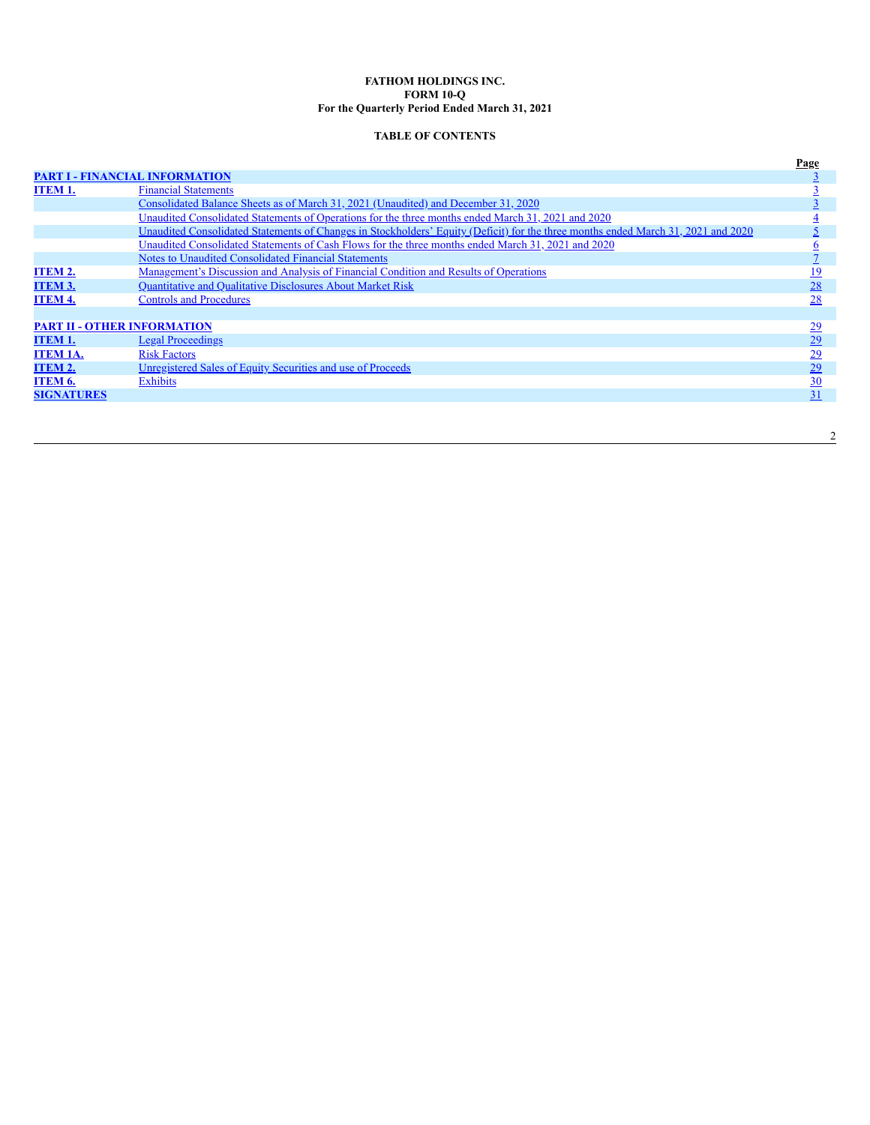## **FATHOM HOLDINGS INC. FORM 10-Q For the Quarterly Period Ended March 31, 2021**

# **TABLE OF CONTENTS**

|                                    |                                                                                                                                   | <b>Page</b>     |
|------------------------------------|-----------------------------------------------------------------------------------------------------------------------------------|-----------------|
|                                    | <b>PART I - FINANCIAL INFORMATION</b>                                                                                             |                 |
| ITEM 1.                            | <b>Financial Statements</b>                                                                                                       |                 |
|                                    | Consolidated Balance Sheets as of March 31, 2021 (Unaudited) and December 31, 2020                                                |                 |
|                                    | Unaudited Consolidated Statements of Operations for the three months ended March 31, 2021 and 2020                                |                 |
|                                    | Unaudited Consolidated Statements of Changes in Stockholders' Equity (Deficit) for the three months ended March 31, 2021 and 2020 |                 |
|                                    | Unaudited Consolidated Statements of Cash Flows for the three months ended March 31, 2021 and 2020                                |                 |
|                                    | Notes to Unaudited Consolidated Financial Statements                                                                              |                 |
| <b>ITEM 2.</b>                     | <u>Management's Discussion and Analysis of Financial Condition and Results of Operations</u>                                      | <u> 19</u>      |
| <b>ITEM 3.</b>                     | Quantitative and Qualitative Disclosures About Market Risk                                                                        | 28              |
| <b>ITEM 4.</b>                     | <b>Controls and Procedures</b>                                                                                                    | 28              |
|                                    |                                                                                                                                   |                 |
| <b>PART II - OTHER INFORMATION</b> |                                                                                                                                   | $\overline{29}$ |
| <b>ITEM 1.</b>                     | <b>Legal Proceedings</b>                                                                                                          | 29              |
| <b>ITEM 1A.</b>                    | <b>Risk Factors</b>                                                                                                               | 29              |
| ITEM 2.                            | Unregistered Sales of Equity Securities and use of Proceeds                                                                       | 29              |
| <b>ITEM 6.</b>                     | <b>Exhibits</b>                                                                                                                   | 30              |
| <b>SIGNATURES</b>                  |                                                                                                                                   | 31              |
|                                    |                                                                                                                                   |                 |

2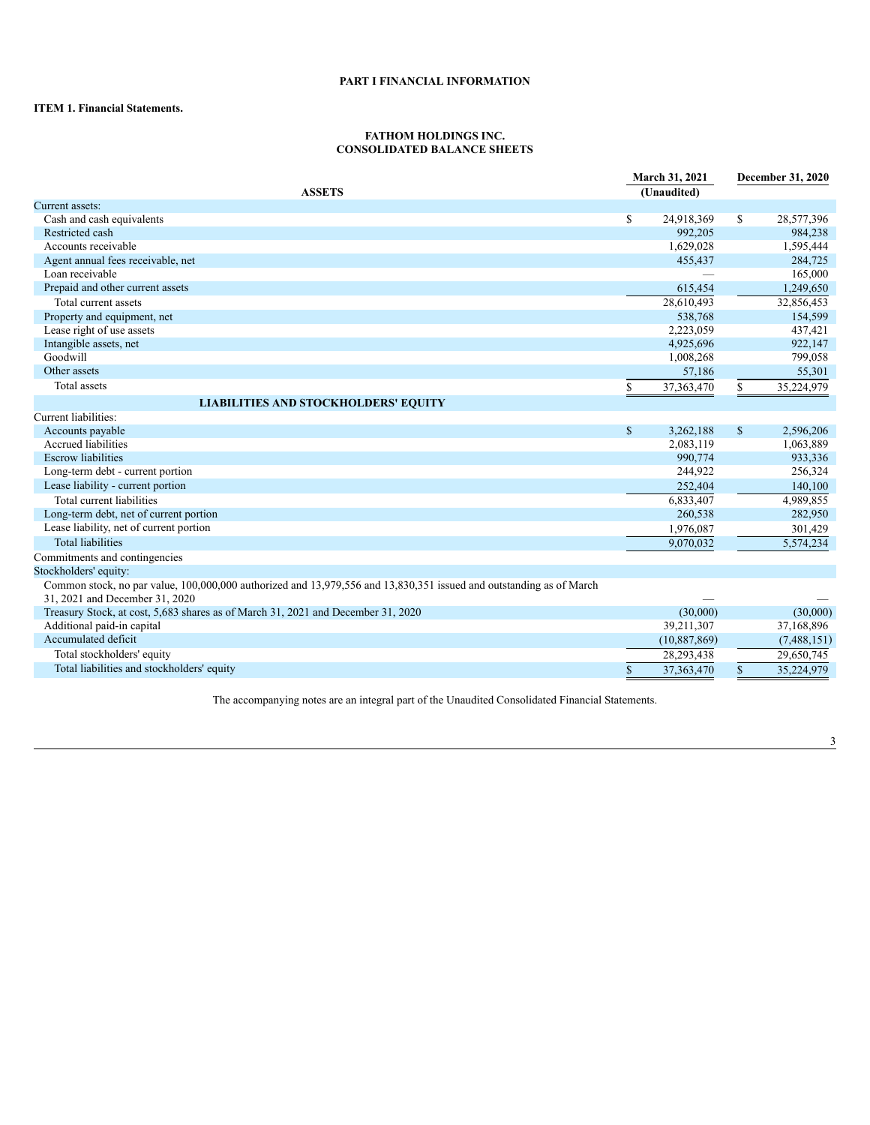# **PART I FINANCIAL INFORMATION**

## <span id="page-2-2"></span><span id="page-2-1"></span><span id="page-2-0"></span>**ITEM 1. Financial Statements.**

## **FATHOM HOLDINGS INC. CONSOLIDATED BALANCE SHEETS**

|                                                                                                                     | March 31, 2021   |              | <b>December 31, 2020</b> |
|---------------------------------------------------------------------------------------------------------------------|------------------|--------------|--------------------------|
| <b>ASSETS</b>                                                                                                       | (Unaudited)      |              |                          |
| Current assets:                                                                                                     |                  |              |                          |
| Cash and cash equivalents                                                                                           | \$<br>24,918,369 | S.           | 28,577,396               |
| Restricted cash                                                                                                     | 992,205          |              | 984,238                  |
| Accounts receivable                                                                                                 | 1,629,028        |              | 1,595,444                |
| Agent annual fees receivable, net                                                                                   | 455,437          |              | 284,725                  |
| Loan receivable                                                                                                     |                  |              | 165,000                  |
| Prepaid and other current assets                                                                                    | 615,454          |              | 1,249,650                |
| Total current assets                                                                                                | 28,610,493       |              | 32,856,453               |
| Property and equipment, net                                                                                         | 538,768          |              | 154,599                  |
| Lease right of use assets                                                                                           | 2,223,059        |              | 437,421                  |
| Intangible assets, net                                                                                              | 4,925,696        |              | 922,147                  |
| Goodwill                                                                                                            | 1,008,268        |              | 799,058                  |
| Other assets                                                                                                        | 57,186           |              | 55,301                   |
| Total assets                                                                                                        | \$<br>37,363,470 | S.           | 35,224,979               |
| <b>LIABILITIES AND STOCKHOLDERS' EQUITY</b>                                                                         |                  |              |                          |
| Current liabilities:                                                                                                |                  |              |                          |
| Accounts payable                                                                                                    | \$<br>3,262,188  | $\mathbb{S}$ | 2,596,206                |
| <b>Accrued liabilities</b>                                                                                          | 2,083,119        |              | 1,063,889                |
| <b>Escrow</b> liabilities                                                                                           | 990,774          |              | 933,336                  |
| Long-term debt - current portion                                                                                    | 244,922          |              | 256,324                  |
| Lease liability - current portion                                                                                   | 252,404          |              | 140,100                  |
| Total current liabilities                                                                                           | 6,833,407        |              | 4,989,855                |
| Long-term debt, net of current portion                                                                              | 260,538          |              | 282,950                  |
| Lease liability, net of current portion                                                                             | 1,976,087        |              | 301,429                  |
| <b>Total liabilities</b>                                                                                            | 9,070,032        |              | 5,574,234                |
| Commitments and contingencies                                                                                       |                  |              |                          |
| Stockholders' equity:                                                                                               |                  |              |                          |
| Common stock, no par value, 100,000,000 authorized and 13,979,556 and 13,830,351 issued and outstanding as of March |                  |              |                          |
| 31, 2021 and December 31, 2020                                                                                      |                  |              |                          |
| Treasury Stock, at cost, 5,683 shares as of March 31, 2021 and December 31, 2020                                    | (30,000)         |              | (30,000)                 |
| Additional paid-in capital                                                                                          | 39,211,307       |              | 37,168,896               |
| Accumulated deficit                                                                                                 | (10, 887, 869)   |              | (7,488,151)              |
| Total stockholders' equity                                                                                          | 28, 293, 438     |              | 29,650,745               |
| Total liabilities and stockholders' equity                                                                          | \$<br>37,363,470 | $\mathbb{S}$ | 35,224,979               |

The accompanying notes are an integral part of the Unaudited Consolidated Financial Statements.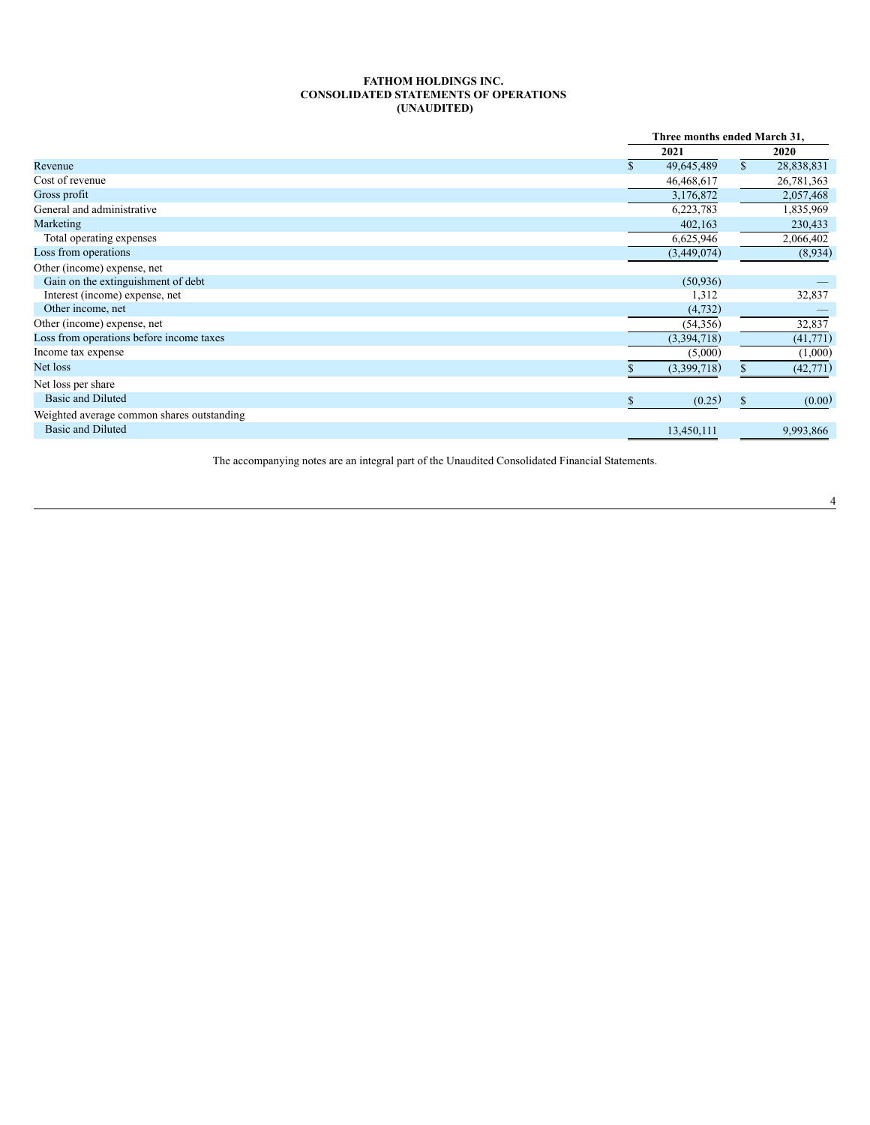## **FATHOM HOLDINGS INC. CONSOLIDATED STATEMENTS OF OPERATIONS (UNAUDITED)**

<span id="page-3-0"></span>

|                                            |              | Three months ended March 31, |            |  |
|--------------------------------------------|--------------|------------------------------|------------|--|
|                                            | 2021         |                              | 2020       |  |
| Revenue                                    | S.           | 49,645,489<br>$\mathbb{S}$   | 28,838,831 |  |
| Cost of revenue                            |              | 46,468,617                   | 26,781,363 |  |
| Gross profit                               |              | 3,176,872                    | 2,057,468  |  |
| General and administrative                 |              | 6,223,783                    | 1,835,969  |  |
| Marketing                                  |              | 402,163                      | 230,433    |  |
| Total operating expenses                   |              | 6,625,946                    | 2,066,402  |  |
| Loss from operations                       |              | (3,449,074)                  | (8,934)    |  |
| Other (income) expense, net                |              |                              |            |  |
| Gain on the extinguishment of debt         |              | (50, 936)                    |            |  |
| Interest (income) expense, net             |              | 1,312                        | 32,837     |  |
| Other income, net                          |              | (4, 732)                     |            |  |
| Other (income) expense, net                |              | (54, 356)                    | 32,837     |  |
| Loss from operations before income taxes   |              | (3,394,718)                  | (41,771)   |  |
| Income tax expense                         |              | (5,000)                      | (1,000)    |  |
| Net loss                                   |              | (3,399,718)                  | (42, 771)  |  |
| Net loss per share                         |              |                              |            |  |
| <b>Basic and Diluted</b>                   | $\mathbf{s}$ | (0.25)<br><sup>\$</sup>      | (0.00)     |  |
| Weighted average common shares outstanding |              |                              |            |  |
| Basic and Diluted                          |              | 13,450,111                   | 9,993,866  |  |

The accompanying notes are an integral part of the Unaudited Consolidated Financial Statements.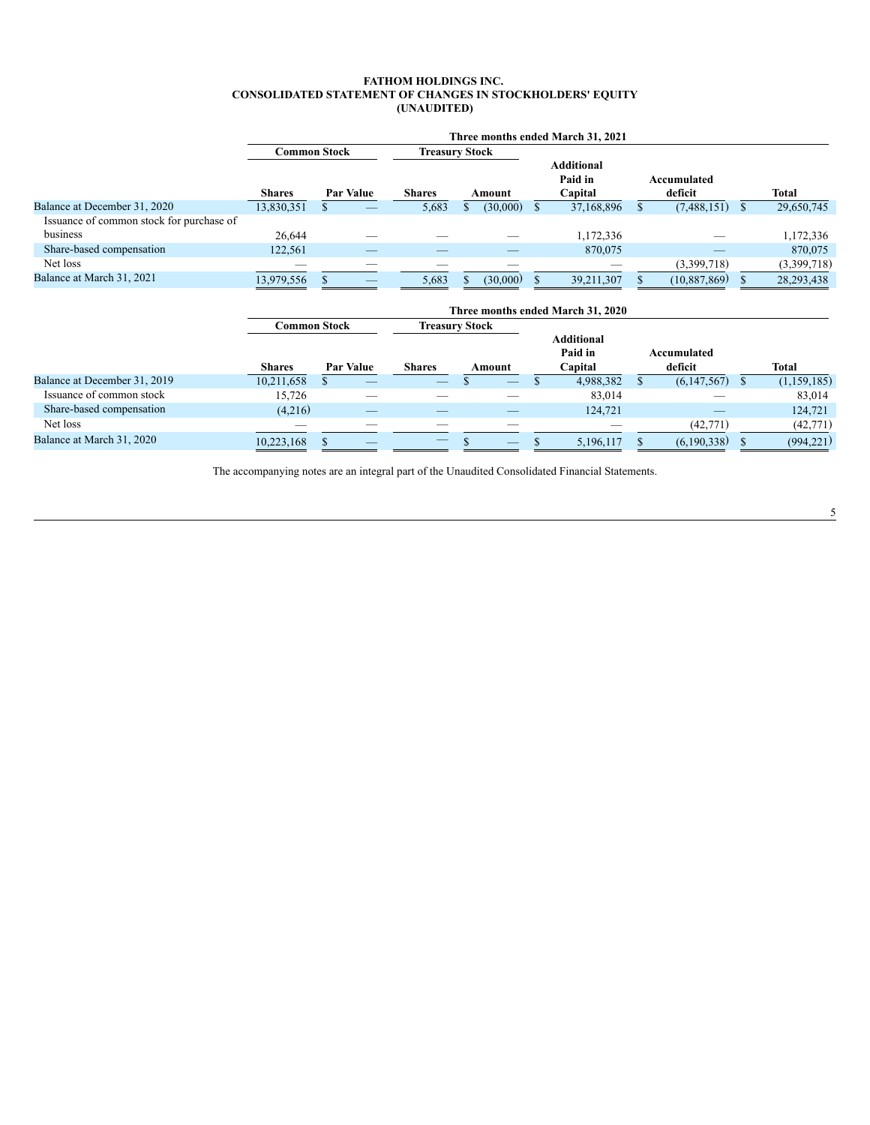## **FATHOM HOLDINGS INC. CONSOLIDATED STATEMENT OF CHANGES IN STOCKHOLDERS' EQUITY (UNAUDITED)**

<span id="page-4-0"></span>

|                                          |                                   |  |           |                       |  |          |  | Three months ended March 31, 2021       |                        |   |              |
|------------------------------------------|-----------------------------------|--|-----------|-----------------------|--|----------|--|-----------------------------------------|------------------------|---|--------------|
|                                          | <b>Common Stock</b>               |  |           | <b>Treasury Stock</b> |  |          |  |                                         |                        |   |              |
|                                          | <b>Shares</b>                     |  | Par Value | <b>Shares</b>         |  | Amount   |  | <b>Additional</b><br>Paid in<br>Capital | Accumulated<br>deficit |   | <b>Total</b> |
| Balance at December 31, 2020             | 13,830,351                        |  |           | 5,683                 |  | (30,000) |  | 37,168,896                              | (7,488,151)            | S | 29,650,745   |
| Issuance of common stock for purchase of |                                   |  |           |                       |  |          |  |                                         |                        |   |              |
| business                                 | 26,644                            |  |           |                       |  |          |  | 1,172,336                               |                        |   | 1,172,336    |
| Share-based compensation                 | 122,561                           |  | –         |                       |  |          |  | 870,075                                 |                        |   | 870,075      |
| Net loss                                 |                                   |  |           |                       |  |          |  |                                         | (3,399,718)            |   | (3,399,718)  |
| Balance at March 31, 2021                | 13,979,556                        |  |           | 5,683                 |  | (30,000) |  | 39,211,307                              | (10,887,869)           |   | 28, 293, 438 |
|                                          | Three months ended March 31, 2020 |  |           |                       |  |          |  |                                         |                        |   |              |
|                                          | <b>Common Stock</b>               |  |           | <b>Treasury Stock</b> |  |          |  |                                         |                        |   |              |
|                                          |                                   |  |           |                       |  |          |  | <b>Additional</b>                       |                        |   |              |

|                              |               |           |               |        | Paid in   | Accumulated |              |
|------------------------------|---------------|-----------|---------------|--------|-----------|-------------|--------------|
|                              | <b>Shares</b> | Par Value | <b>Shares</b> | Amount | Capital   | deficit     | <b>Total</b> |
| Balance at December 31, 2019 | 10,211,658    |           |               |        | 4,988,382 | (6,147,567) | (1,159,185)  |
| Issuance of common stock     | 15,726        |           |               |        | 83,014    |             | 83,014       |
| Share-based compensation     | (4,216)       |           |               |        | 124,721   |             | 124,721      |
| Net loss                     |               |           |               |        |           | (42, 771)   | (42, 771)    |
| Balance at March 31, 2020    | 10,223,168    |           | _             |        | 5.196.117 | (6,190,338) | (994, 221)   |

The accompanying notes are an integral part of the Unaudited Consolidated Financial Statements.

5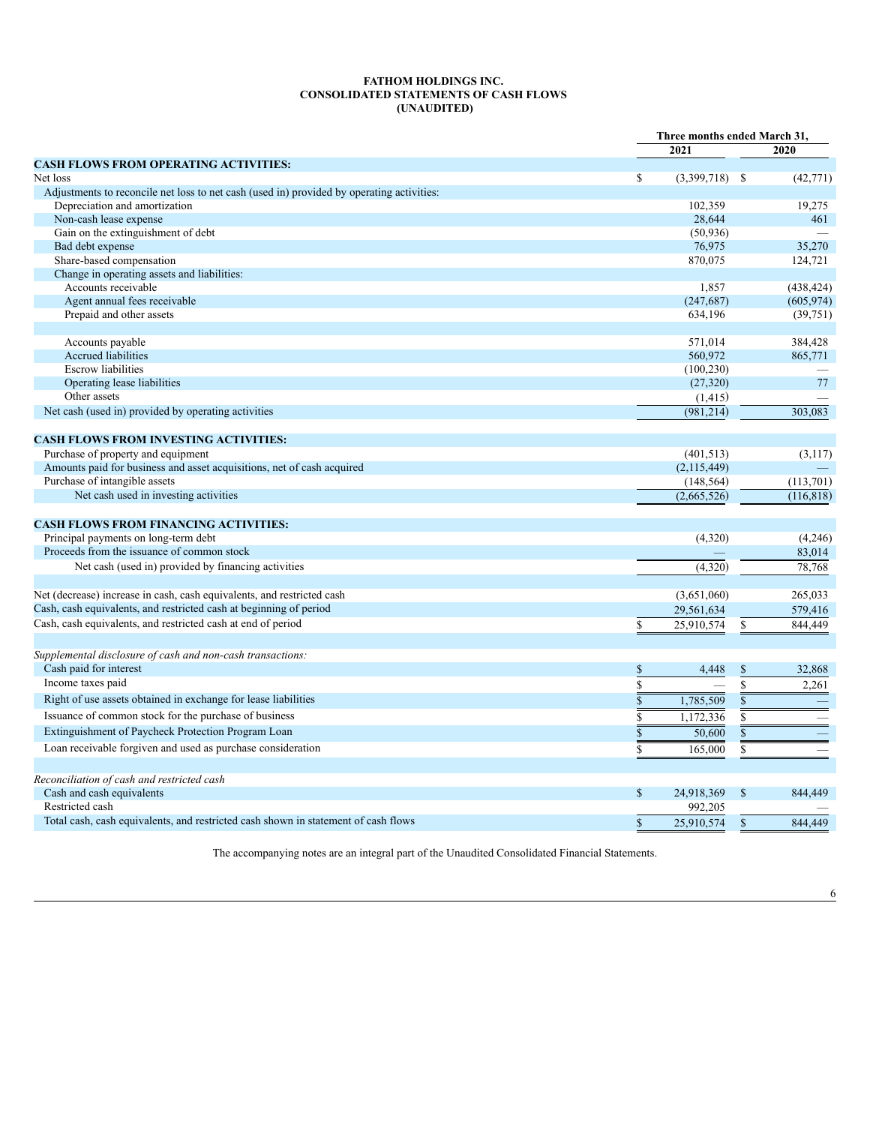## **FATHOM HOLDINGS INC. CONSOLIDATED STATEMENTS OF CASH FLOWS (UNAUDITED)**

<span id="page-5-0"></span>

|                                                                                           |                 | Three months ended March 31, |                 |            |
|-------------------------------------------------------------------------------------------|-----------------|------------------------------|-----------------|------------|
|                                                                                           |                 | 2021                         |                 | 2020       |
| <b>CASH FLOWS FROM OPERATING ACTIVITIES:</b>                                              |                 |                              |                 |            |
| Net loss                                                                                  | $\mathbb{S}$    | $(3,399,718)$ \$             |                 | (42, 771)  |
| Adjustments to reconcile net loss to net cash (used in) provided by operating activities: |                 |                              |                 |            |
| Depreciation and amortization                                                             |                 | 102,359                      |                 | 19,275     |
| Non-cash lease expense                                                                    |                 | 28,644                       |                 | 461        |
| Gain on the extinguishment of debt                                                        |                 | (50, 936)                    |                 |            |
| Bad debt expense                                                                          |                 | 76,975                       |                 | 35,270     |
| Share-based compensation                                                                  |                 | 870,075                      |                 | 124,721    |
| Change in operating assets and liabilities:                                               |                 |                              |                 |            |
| Accounts receivable                                                                       |                 | 1,857                        |                 | (438, 424) |
| Agent annual fees receivable                                                              |                 | (247, 687)                   |                 | (605, 974) |
| Prepaid and other assets                                                                  |                 | 634,196                      |                 | (39, 751)  |
| Accounts payable                                                                          |                 | 571,014                      |                 | 384,428    |
| <b>Accrued liabilities</b>                                                                |                 | 560,972                      |                 | 865,771    |
| <b>Escrow</b> liabilities                                                                 |                 | (100, 230)                   |                 |            |
| Operating lease liabilities                                                               |                 | (27, 320)                    |                 | 77         |
| Other assets                                                                              |                 | (1, 415)                     |                 |            |
| Net cash (used in) provided by operating activities                                       |                 | (981, 214)                   |                 | 303,083    |
| <b>CASH FLOWS FROM INVESTING ACTIVITIES:</b>                                              |                 |                              |                 |            |
| Purchase of property and equipment                                                        |                 | (401, 513)                   |                 | (3,117)    |
| Amounts paid for business and asset acquisitions, net of cash acquired                    |                 | (2,115,449)                  |                 |            |
| Purchase of intangible assets                                                             |                 | (148, 564)                   |                 | (113, 701) |
| Net cash used in investing activities                                                     |                 | (2,665,526)                  |                 | (116, 818) |
| <b>CASH FLOWS FROM FINANCING ACTIVITIES:</b>                                              |                 |                              |                 |            |
| Principal payments on long-term debt                                                      |                 | (4,320)                      |                 | (4,246)    |
| Proceeds from the issuance of common stock                                                |                 |                              |                 | 83,014     |
| Net cash (used in) provided by financing activities                                       |                 | (4,320)                      |                 | 78,768     |
|                                                                                           |                 |                              |                 |            |
| Net (decrease) increase in cash, cash equivalents, and restricted cash                    |                 | (3,651,060)                  |                 | 265.033    |
| Cash, cash equivalents, and restricted cash at beginning of period                        |                 | 29,561,634                   |                 | 579,416    |
| Cash, cash equivalents, and restricted cash at end of period                              | \$              | 25,910,574                   | $\mathbb S$     | 844,449    |
|                                                                                           |                 |                              |                 |            |
| Supplemental disclosure of cash and non-cash transactions:                                |                 |                              |                 |            |
| Cash paid for interest                                                                    | \$              | 4,448                        | \$              | 32,868     |
| Income taxes paid                                                                         | \$              |                              | $\mathbf S$     | 2,261      |
| Right of use assets obtained in exchange for lease liabilities                            | $\overline{\$}$ | 1,785,509                    | $\overline{\$}$ |            |
| Issuance of common stock for the purchase of business                                     | <sup>\$</sup>   | 1,172,336                    | $\mathbf S$     |            |
| Extinguishment of Paycheck Protection Program Loan                                        |                 | 50,600                       | $\mathbf{s}$    |            |
| Loan receivable forgiven and used as purchase consideration                               | $\overline{s}$  | 165,000                      | $\overline{\$}$ |            |
|                                                                                           |                 |                              |                 |            |
| Reconciliation of cash and restricted cash                                                |                 |                              |                 |            |
| Cash and cash equivalents<br>Restricted cash                                              | $\mathsf{\$}$   | 24,918,369                   | $\mathbb S$     | 844,449    |
| Total cash, cash equivalents, and restricted cash shown in statement of cash flows        | \$              | 992,205<br>25,910,574        | $\mathbb{S}$    | 844.449    |
|                                                                                           |                 |                              |                 |            |

The accompanying notes are an integral part of the Unaudited Consolidated Financial Statements.

6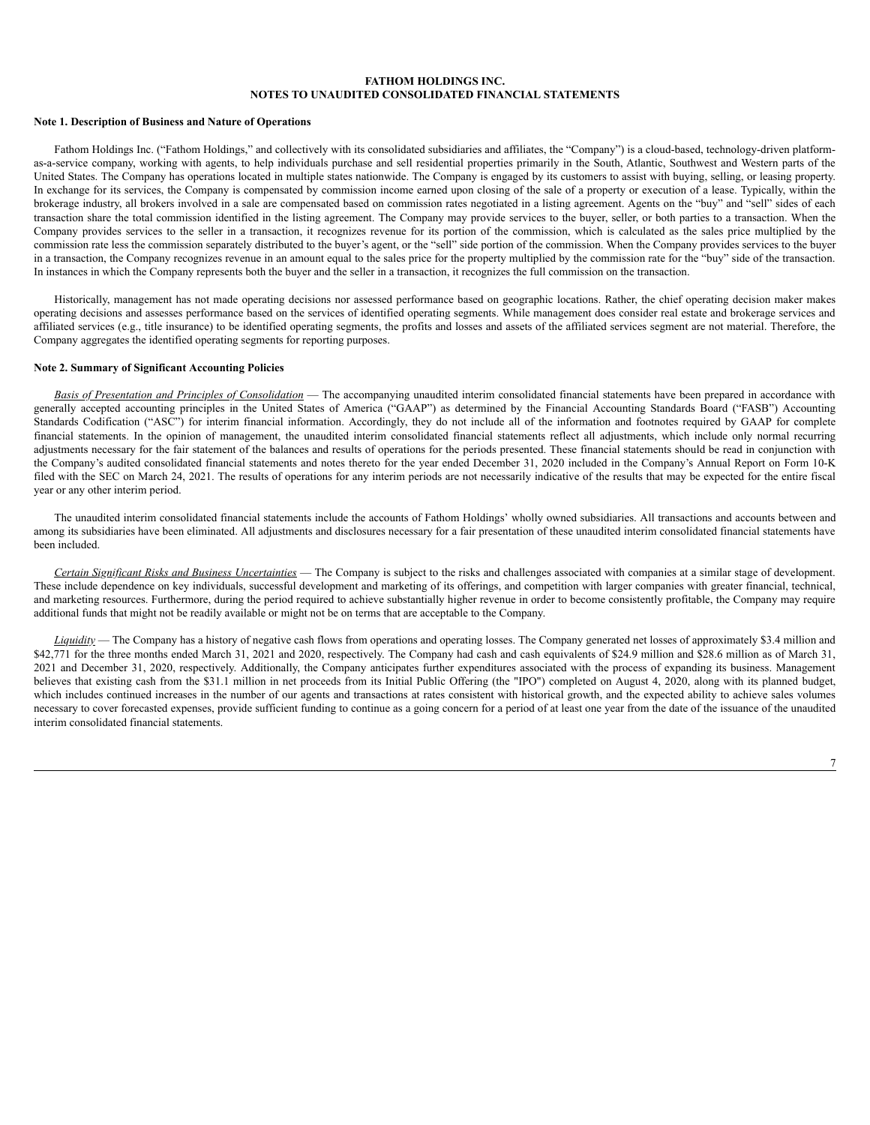### <span id="page-6-0"></span>**Note 1. Description of Business and Nature of Operations**

Fathom Holdings Inc. ("Fathom Holdings," and collectively with its consolidated subsidiaries and affiliates, the "Company") is a cloud-based, technology-driven platformas-a-service company, working with agents, to help individuals purchase and sell residential properties primarily in the South, Atlantic, Southwest and Western parts of the United States. The Company has operations located in multiple states nationwide. The Company is engaged by its customers to assist with buying, selling, or leasing property. In exchange for its services, the Company is compensated by commission income earned upon closing of the sale of a property or execution of a lease. Typically, within the brokerage industry, all brokers involved in a sale are compensated based on commission rates negotiated in a listing agreement. Agents on the "buy" and "sell" sides of each transaction share the total commission identified in the listing agreement. The Company may provide services to the buyer, seller, or both parties to a transaction. When the Company provides services to the seller in a transaction, it recognizes revenue for its portion of the commission, which is calculated as the sales price multiplied by the commission rate less the commission separately distributed to the buyer's agent, or the "sell" side portion of the commission. When the Company provides services to the buyer in a transaction, the Company recognizes revenue in an amount equal to the sales price for the property multiplied by the commission rate for the "buy" side of the transaction. In instances in which the Company represents both the buyer and the seller in a transaction, it recognizes the full commission on the transaction.

Historically, management has not made operating decisions nor assessed performance based on geographic locations. Rather, the chief operating decision maker makes operating decisions and assesses performance based on the services of identified operating segments. While management does consider real estate and brokerage services and affiliated services (e.g., title insurance) to be identified operating segments, the profits and losses and assets of the affiliated services segment are not material. Therefore, the Company aggregates the identified operating segments for reporting purposes.

## **Note 2. Summary of Significant Accounting Policies**

*Basis of Presentation and Principles of Consolidation* — The accompanying unaudited interim consolidated financial statements have been prepared in accordance with generally accepted accounting principles in the United States of America ("GAAP") as determined by the Financial Accounting Standards Board ("FASB") Accounting Standards Codification ("ASC") for interim financial information. Accordingly, they do not include all of the information and footnotes required by GAAP for complete financial statements. In the opinion of management, the unaudited interim consolidated financial statements reflect all adjustments, which include only normal recurring adjustments necessary for the fair statement of the balances and results of operations for the periods presented. These financial statements should be read in conjunction with the Company's audited consolidated financial statements and notes thereto for the year ended December 31, 2020 included in the Company's Annual Report on Form 10-K filed with the SEC on March 24, 2021. The results of operations for any interim periods are not necessarily indicative of the results that may be expected for the entire fiscal year or any other interim period.

The unaudited interim consolidated financial statements include the accounts of Fathom Holdings' wholly owned subsidiaries. All transactions and accounts between and among its subsidiaries have been eliminated. All adjustments and disclosures necessary for a fair presentation of these unaudited interim consolidated financial statements have been included.

*Certain Significant Risks and Business Uncertainties* — The Company is subject to the risks and challenges associated with companies at a similar stage of development. These include dependence on key individuals, successful development and marketing of its offerings, and competition with larger companies with greater financial, technical, and marketing resources. Furthermore, during the period required to achieve substantially higher revenue in order to become consistently profitable, the Company may require additional funds that might not be readily available or might not be on terms that are acceptable to the Company.

*Liquidity* — The Company has a history of negative cash flows from operations and operating losses. The Company generated net losses of approximately \$3.4 million and \$42,771 for the three months ended March 31, 2021 and 2020, respectively. The Company had cash and cash equivalents of \$24.9 million and \$28.6 million as of March 31, 2021 and December 31, 2020, respectively. Additionally, the Company anticipates further expenditures associated with the process of expanding its business. Management believes that existing cash from the \$31.1 million in net proceeds from its Initial Public Offering (the "IPO") completed on August 4, 2020, along with its planned budget, which includes continued increases in the number of our agents and transactions at rates consistent with historical growth, and the expected ability to achieve sales volumes necessary to cover forecasted expenses, provide sufficient funding to continue as a going concern for a period of at least one year from the date of the issuance of the unaudited interim consolidated financial statements.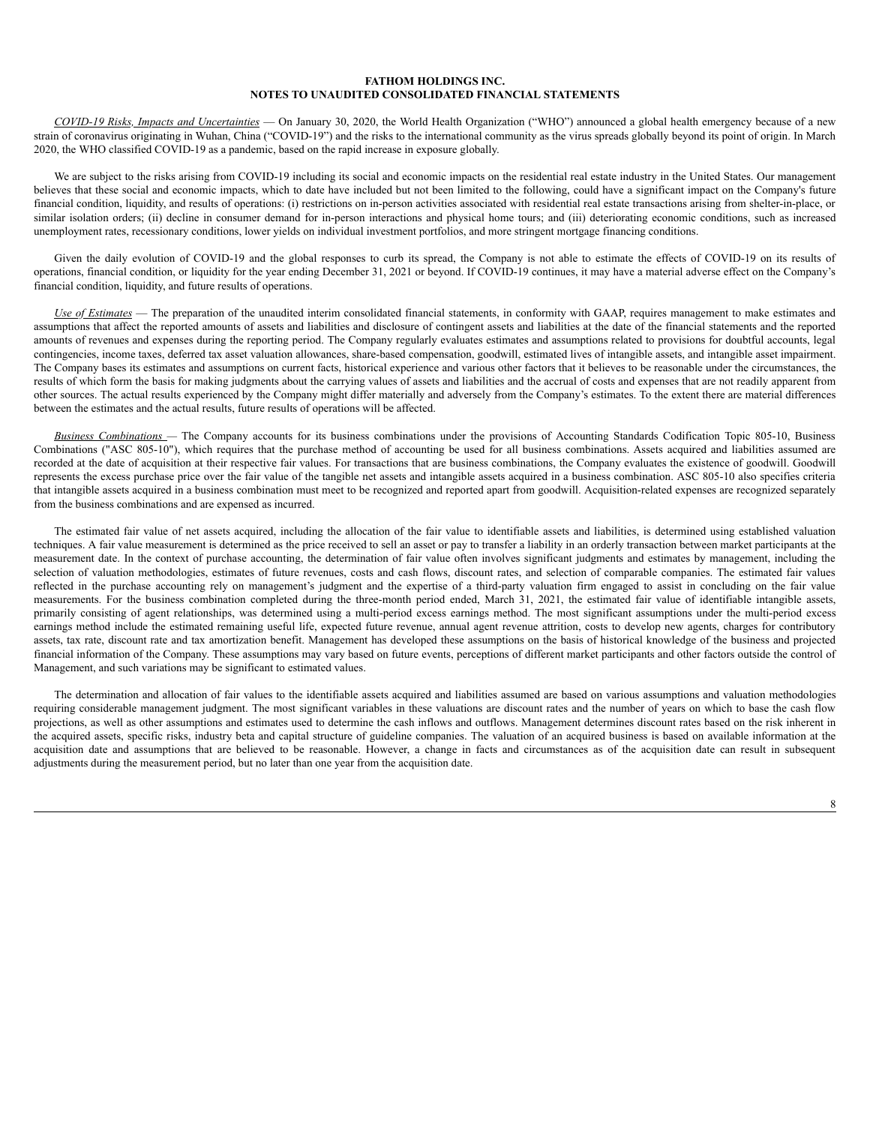*COVID-19 Risks, Impacts and Uncertainties* — On January 30, 2020, the World Health Organization ("WHO") announced a global health emergency because of a new strain of coronavirus originating in Wuhan, China ("COVID-19") and the risks to the international community as the virus spreads globally beyond its point of origin. In March 2020, the WHO classified COVID-19 as a pandemic, based on the rapid increase in exposure globally.

We are subject to the risks arising from COVID-19 including its social and economic impacts on the residential real estate industry in the United States. Our management believes that these social and economic impacts, which to date have included but not been limited to the following, could have a significant impact on the Company's future financial condition, liquidity, and results of operations: (i) restrictions on in-person activities associated with residential real estate transactions arising from shelter-in-place, or similar isolation orders; (ii) decline in consumer demand for in-person interactions and physical home tours; and (iii) deteriorating economic conditions, such as increased unemployment rates, recessionary conditions, lower yields on individual investment portfolios, and more stringent mortgage financing conditions.

Given the daily evolution of COVID-19 and the global responses to curb its spread, the Company is not able to estimate the effects of COVID-19 on its results of operations, financial condition, or liquidity for the year ending December 31, 2021 or beyond. If COVID-19 continues, it may have a material adverse effect on the Company's financial condition, liquidity, and future results of operations.

*Use of Estimates* — The preparation of the unaudited interim consolidated financial statements, in conformity with GAAP, requires management to make estimates and assumptions that affect the reported amounts of assets and liabilities and disclosure of contingent assets and liabilities at the date of the financial statements and the reported amounts of revenues and expenses during the reporting period. The Company regularly evaluates estimates and assumptions related to provisions for doubtful accounts, legal contingencies, income taxes, deferred tax asset valuation allowances, share-based compensation, goodwill, estimated lives of intangible assets, and intangible asset impairment. The Company bases its estimates and assumptions on current facts, historical experience and various other factors that it believes to be reasonable under the circumstances, the results of which form the basis for making judgments about the carrying values of assets and liabilities and the accrual of costs and expenses that are not readily apparent from other sources. The actual results experienced by the Company might differ materially and adversely from the Company's estimates. To the extent there are material differences between the estimates and the actual results, future results of operations will be affected.

*Business Combinations* — The Company accounts for its business combinations under the provisions of Accounting Standards Codification Topic 805-10, Business Combinations ("ASC 805-10"), which requires that the purchase method of accounting be used for all business combinations. Assets acquired and liabilities assumed are recorded at the date of acquisition at their respective fair values. For transactions that are business combinations, the Company evaluates the existence of goodwill. Goodwill represents the excess purchase price over the fair value of the tangible net assets and intangible assets acquired in a business combination. ASC 805-10 also specifies criteria that intangible assets acquired in a business combination must meet to be recognized and reported apart from goodwill. Acquisition-related expenses are recognized separately from the business combinations and are expensed as incurred.

The estimated fair value of net assets acquired, including the allocation of the fair value to identifiable assets and liabilities, is determined using established valuation techniques. A fair value measurement is determined as the price received to sell an asset or pay to transfer a liability in an orderly transaction between market participants at the measurement date. In the context of purchase accounting, the determination of fair value often involves significant judgments and estimates by management, including the selection of valuation methodologies, estimates of future revenues, costs and cash flows, discount rates, and selection of comparable companies. The estimated fair values reflected in the purchase accounting rely on management's judgment and the expertise of a third-party valuation firm engaged to assist in concluding on the fair value measurements. For the business combination completed during the three-month period ended, March 31, 2021, the estimated fair value of identifiable intangible assets, primarily consisting of agent relationships, was determined using a multi-period excess earnings method. The most significant assumptions under the multi-period excess earnings method include the estimated remaining useful life, expected future revenue, annual agent revenue attrition, costs to develop new agents, charges for contributory assets, tax rate, discount rate and tax amortization benefit. Management has developed these assumptions on the basis of historical knowledge of the business and projected financial information of the Company. These assumptions may vary based on future events, perceptions of different market participants and other factors outside the control of Management, and such variations may be significant to estimated values.

The determination and allocation of fair values to the identifiable assets acquired and liabilities assumed are based on various assumptions and valuation methodologies requiring considerable management judgment. The most significant variables in these valuations are discount rates and the number of years on which to base the cash flow projections, as well as other assumptions and estimates used to determine the cash inflows and outflows. Management determines discount rates based on the risk inherent in the acquired assets, specific risks, industry beta and capital structure of guideline companies. The valuation of an acquired business is based on available information at the acquisition date and assumptions that are believed to be reasonable. However, a change in facts and circumstances as of the acquisition date can result in subsequent adjustments during the measurement period, but no later than one year from the acquisition date.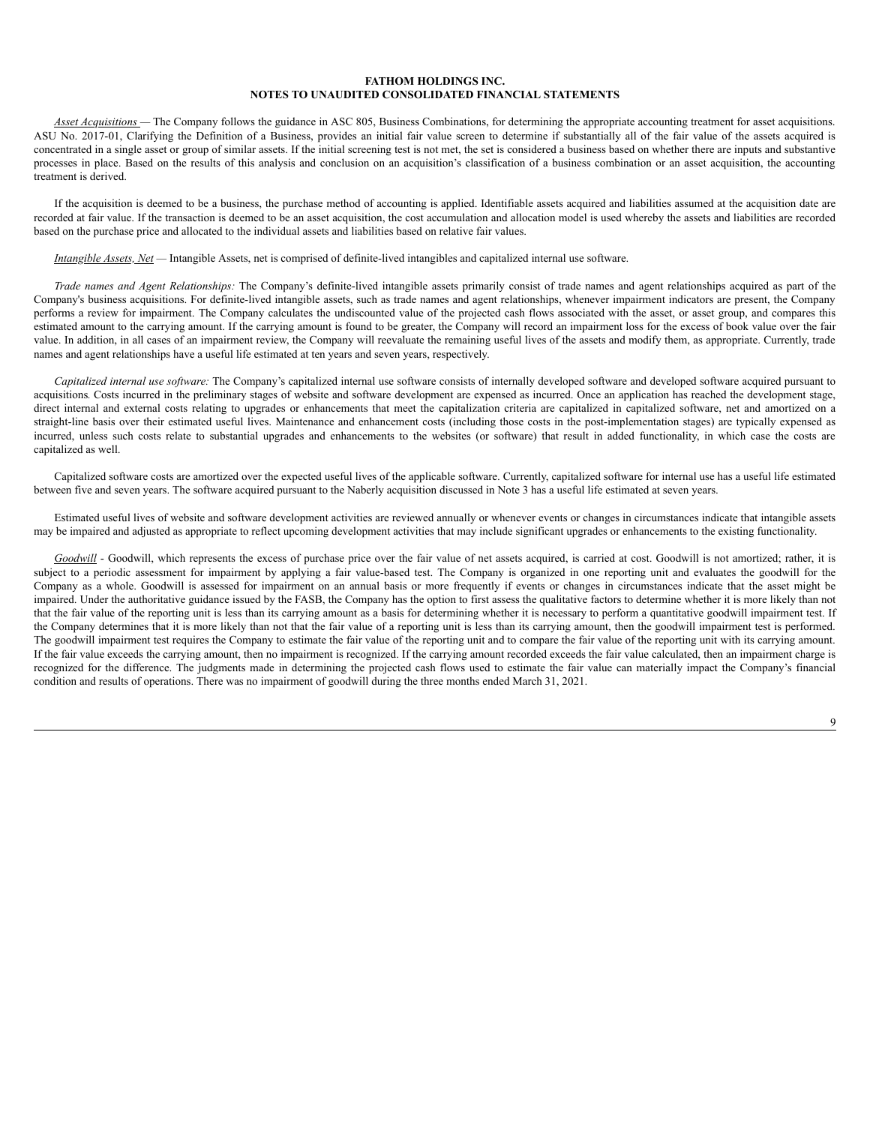*Asset Acquisitions* — The Company follows the guidance in ASC 805, Business Combinations, for determining the appropriate accounting treatment for asset acquisitions. ASU No. 2017-01, Clarifying the Definition of a Business, provides an initial fair value screen to determine if substantially all of the fair value of the assets acquired is concentrated in a single asset or group of similar assets. If the initial screening test is not met, the set is considered a business based on whether there are inputs and substantive processes in place. Based on the results of this analysis and conclusion on an acquisition's classification of a business combination or an asset acquisition, the accounting treatment is derived.

If the acquisition is deemed to be a business, the purchase method of accounting is applied. Identifiable assets acquired and liabilities assumed at the acquisition date are recorded at fair value. If the transaction is deemed to be an asset acquisition, the cost accumulation and allocation model is used whereby the assets and liabilities are recorded based on the purchase price and allocated to the individual assets and liabilities based on relative fair values.

*Intangible Assets, Net —* Intangible Assets, net is comprised of definite-lived intangibles and capitalized internal use software.

*Trade names and Agent Relationships:* The Company's definite-lived intangible assets primarily consist of trade names and agent relationships acquired as part of the Company's business acquisitions. For definite-lived intangible assets, such as trade names and agent relationships, whenever impairment indicators are present, the Company performs a review for impairment. The Company calculates the undiscounted value of the projected cash flows associated with the asset, or asset group, and compares this estimated amount to the carrying amount. If the carrying amount is found to be greater, the Company will record an impairment loss for the excess of book value over the fair value. In addition, in all cases of an impairment review, the Company will reevaluate the remaining useful lives of the assets and modify them, as appropriate. Currently, trade names and agent relationships have a useful life estimated at ten years and seven years, respectively.

*Capitalized internal use software:* The Company's capitalized internal use software consists of internally developed software and developed software acquired pursuant to acquisitions*.* Costs incurred in the preliminary stages of website and software development are expensed as incurred. Once an application has reached the development stage, direct internal and external costs relating to upgrades or enhancements that meet the capitalization criteria are capitalized in capitalized software, net and amortized on a straight-line basis over their estimated useful lives. Maintenance and enhancement costs (including those costs in the post-implementation stages) are typically expensed as incurred, unless such costs relate to substantial upgrades and enhancements to the websites (or software) that result in added functionality, in which case the costs are capitalized as well.

Capitalized software costs are amortized over the expected useful lives of the applicable software. Currently, capitalized software for internal use has a useful life estimated between five and seven years. The software acquired pursuant to the Naberly acquisition discussed in Note 3 has a useful life estimated at seven years.

Estimated useful lives of website and software development activities are reviewed annually or whenever events or changes in circumstances indicate that intangible assets may be impaired and adjusted as appropriate to reflect upcoming development activities that may include significant upgrades or enhancements to the existing functionality.

*Goodwill* - Goodwill, which represents the excess of purchase price over the fair value of net assets acquired, is carried at cost. Goodwill is not amortized; rather, it is subject to a periodic assessment for impairment by applying a fair value-based test. The Company is organized in one reporting unit and evaluates the goodwill for the Company as a whole. Goodwill is assessed for impairment on an annual basis or more frequently if events or changes in circumstances indicate that the asset might be impaired. Under the authoritative guidance issued by the FASB, the Company has the option to first assess the qualitative factors to determine whether it is more likely than not that the fair value of the reporting unit is less than its carrying amount as a basis for determining whether it is necessary to perform a quantitative goodwill impairment test. If the Company determines that it is more likely than not that the fair value of a reporting unit is less than its carrying amount, then the goodwill impairment test is performed. The goodwill impairment test requires the Company to estimate the fair value of the reporting unit and to compare the fair value of the reporting unit with its carrying amount. If the fair value exceeds the carrying amount, then no impairment is recognized. If the carrying amount recorded exceeds the fair value calculated, then an impairment charge is recognized for the difference. The judgments made in determining the projected cash flows used to estimate the fair value can materially impact the Company's financial condition and results of operations. There was no impairment of goodwill during the three months ended March 31, 2021.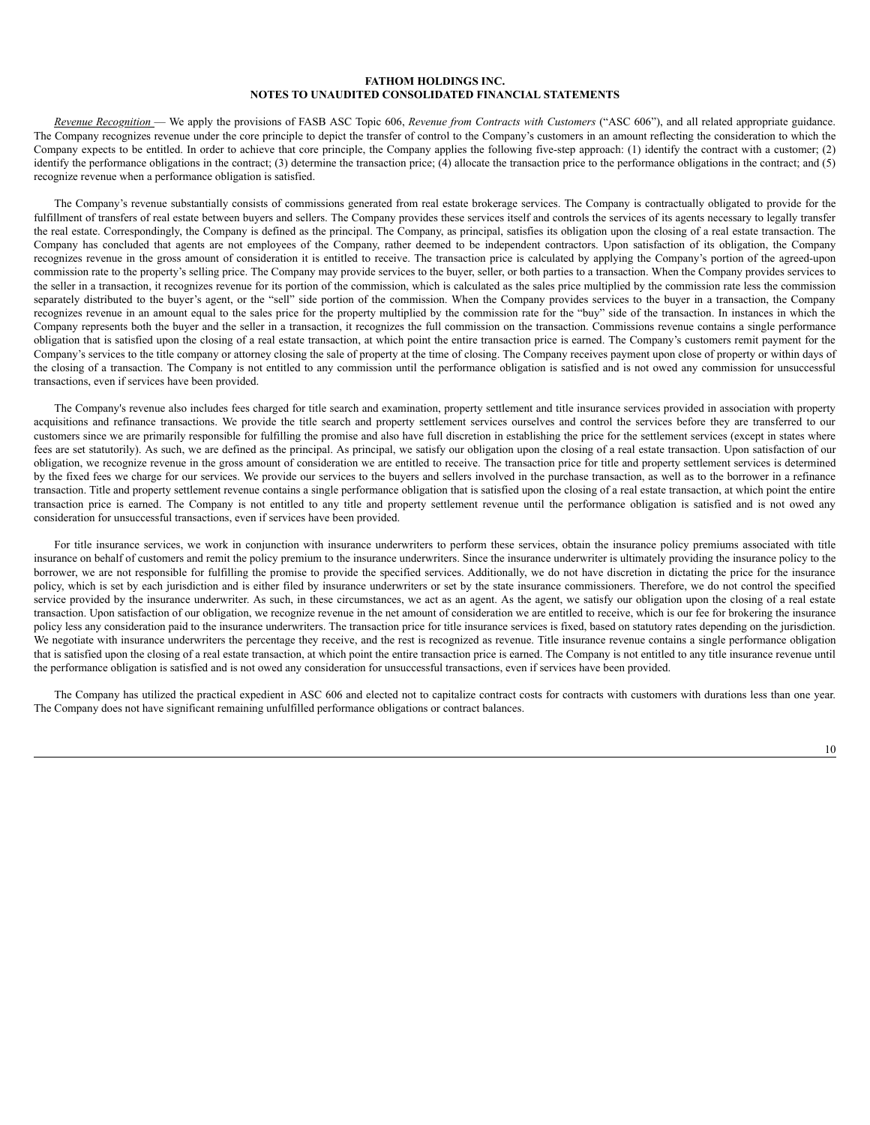*Revenue Recognition* — We apply the provisions of FASB ASC Topic 606, *Revenue from Contracts with Customers* ("ASC 606"), and all related appropriate guidance. The Company recognizes revenue under the core principle to depict the transfer of control to the Company's customers in an amount reflecting the consideration to which the Company expects to be entitled. In order to achieve that core principle, the Company applies the following five-step approach: (1) identify the contract with a customer; (2) identify the performance obligations in the contract; (3) determine the transaction price; (4) allocate the transaction price to the performance obligations in the contract; and (5) recognize revenue when a performance obligation is satisfied.

The Company's revenue substantially consists of commissions generated from real estate brokerage services. The Company is contractually obligated to provide for the fulfillment of transfers of real estate between buyers and sellers. The Company provides these services itself and controls the services of its agents necessary to legally transfer the real estate. Correspondingly, the Company is defined as the principal. The Company, as principal, satisfies its obligation upon the closing of a real estate transaction. The Company has concluded that agents are not employees of the Company, rather deemed to be independent contractors. Upon satisfaction of its obligation, the Company recognizes revenue in the gross amount of consideration it is entitled to receive. The transaction price is calculated by applying the Company's portion of the agreed-upon commission rate to the property's selling price. The Company may provide services to the buyer, seller, or both parties to a transaction. When the Company provides services to the seller in a transaction, it recognizes revenue for its portion of the commission, which is calculated as the sales price multiplied by the commission rate less the commission separately distributed to the buyer's agent, or the "sell" side portion of the commission. When the Company provides services to the buyer in a transaction, the Company recognizes revenue in an amount equal to the sales price for the property multiplied by the commission rate for the "buy" side of the transaction. In instances in which the Company represents both the buyer and the seller in a transaction, it recognizes the full commission on the transaction. Commissions revenue contains a single performance obligation that is satisfied upon the closing of a real estate transaction, at which point the entire transaction price is earned. The Company's customers remit payment for the Company's services to the title company or attorney closing the sale of property at the time of closing. The Company receives payment upon close of property or within days of the closing of a transaction. The Company is not entitled to any commission until the performance obligation is satisfied and is not owed any commission for unsuccessful transactions, even if services have been provided.

The Company's revenue also includes fees charged for title search and examination, property settlement and title insurance services provided in association with property acquisitions and refinance transactions. We provide the title search and property settlement services ourselves and control the services before they are transferred to our customers since we are primarily responsible for fulfilling the promise and also have full discretion in establishing the price for the settlement services (except in states where fees are set statutorily). As such, we are defined as the principal. As principal, we satisfy our obligation upon the closing of a real estate transaction. Upon satisfaction of our obligation, we recognize revenue in the gross amount of consideration we are entitled to receive. The transaction price for title and property settlement services is determined by the fixed fees we charge for our services. We provide our services to the buyers and sellers involved in the purchase transaction, as well as to the borrower in a refinance transaction. Title and property settlement revenue contains a single performance obligation that is satisfied upon the closing of a real estate transaction, at which point the entire transaction price is earned. The Company is not entitled to any title and property settlement revenue until the performance obligation is satisfied and is not owed any consideration for unsuccessful transactions, even if services have been provided.

For title insurance services, we work in conjunction with insurance underwriters to perform these services, obtain the insurance policy premiums associated with title insurance on behalf of customers and remit the policy premium to the insurance underwriters. Since the insurance underwriter is ultimately providing the insurance policy to the borrower, we are not responsible for fulfilling the promise to provide the specified services. Additionally, we do not have discretion in dictating the price for the insurance policy, which is set by each jurisdiction and is either filed by insurance underwriters or set by the state insurance commissioners. Therefore, we do not control the specified service provided by the insurance underwriter. As such, in these circumstances, we act as an agent. As the agent, we satisfy our obligation upon the closing of a real estate transaction. Upon satisfaction of our obligation, we recognize revenue in the net amount of consideration we are entitled to receive, which is our fee for brokering the insurance policy less any consideration paid to the insurance underwriters. The transaction price for title insurance services is fixed, based on statutory rates depending on the jurisdiction. We negotiate with insurance underwriters the percentage they receive, and the rest is recognized as revenue. Title insurance revenue contains a single performance obligation that is satisfied upon the closing of a real estate transaction, at which point the entire transaction price is earned. The Company is not entitled to any title insurance revenue until the performance obligation is satisfied and is not owed any consideration for unsuccessful transactions, even if services have been provided.

The Company has utilized the practical expedient in ASC 606 and elected not to capitalize contract costs for contracts with customers with durations less than one year. The Company does not have significant remaining unfulfilled performance obligations or contract balances.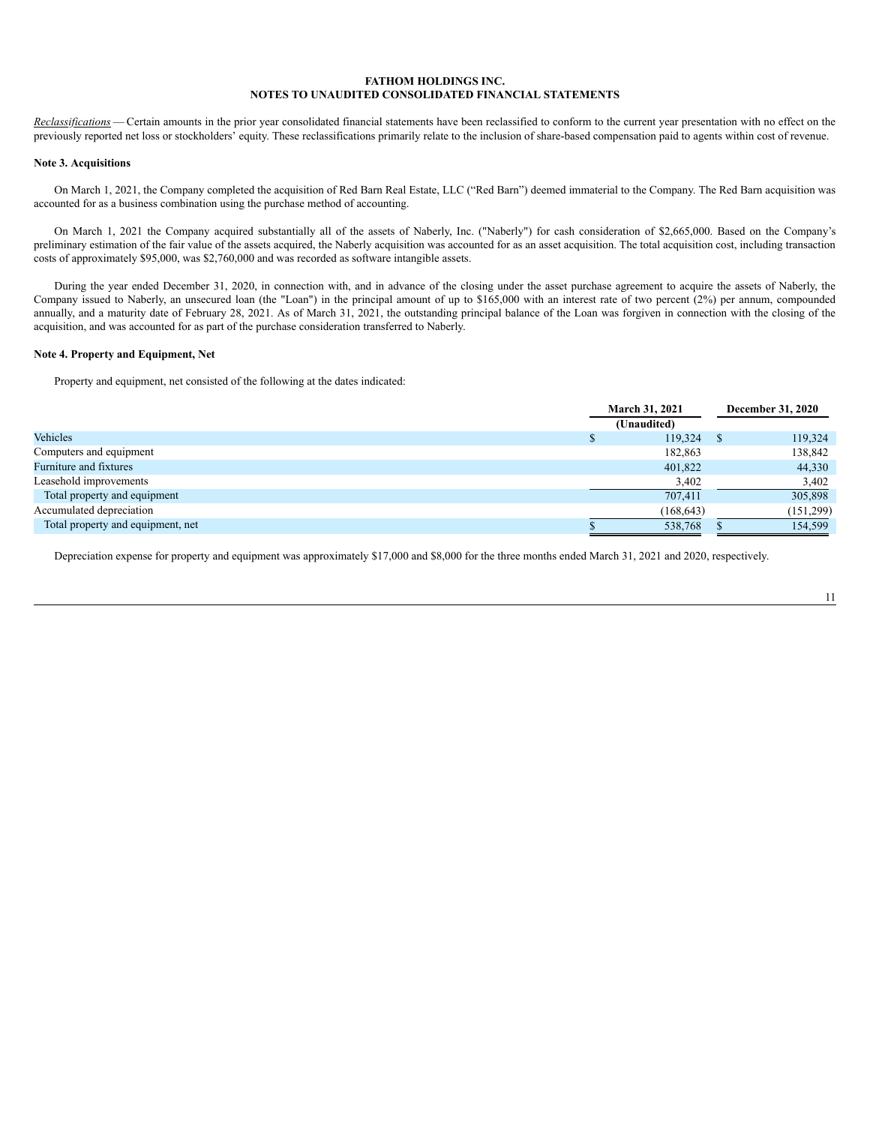*Reclassifications* — Certain amounts in the prior year consolidated financial statements have been reclassified to conform to the current year presentation with no effect on the previously reported net loss or stockholders' equity. These reclassifications primarily relate to the inclusion of share-based compensation paid to agents within cost of revenue.

### **Note 3. Acquisitions**

On March 1, 2021, the Company completed the acquisition of Red Barn Real Estate, LLC ("Red Barn") deemed immaterial to the Company. The Red Barn acquisition was accounted for as a business combination using the purchase method of accounting.

On March 1, 2021 the Company acquired substantially all of the assets of Naberly, Inc. ("Naberly") for cash consideration of \$2,665,000. Based on the Company's preliminary estimation of the fair value of the assets acquired, the Naberly acquisition was accounted for as an asset acquisition. The total acquisition cost, including transaction costs of approximately \$95,000, was \$2,760,000 and was recorded as software intangible assets.

During the year ended December 31, 2020, in connection with, and in advance of the closing under the asset purchase agreement to acquire the assets of Naberly, the Company issued to Naberly, an unsecured loan (the "Loan") in the principal amount of up to \$165,000 with an interest rate of two percent (2%) per annum, compounded annually, and a maturity date of February 28, 2021. As of March 31, 2021, the outstanding principal balance of the Loan was forgiven in connection with the closing of the acquisition, and was accounted for as part of the purchase consideration transferred to Naberly.

### **Note 4. Property and Equipment, Net**

Property and equipment, net consisted of the following at the dates indicated:

|                                   | <b>March 31, 2021</b> | <b>December 31, 2020</b> |
|-----------------------------------|-----------------------|--------------------------|
|                                   | (Unaudited)           |                          |
| Vehicles                          | 119,324               | 119,324                  |
| Computers and equipment           | 182,863               | 138,842                  |
| Furniture and fixtures            | 401,822               | 44,330                   |
| Leasehold improvements            | 3,402                 | 3,402                    |
| Total property and equipment      | 707,411               | 305,898                  |
| Accumulated depreciation          | (168, 643)            | (151,299)                |
| Total property and equipment, net | 538,768               | 154,599                  |

Depreciation expense for property and equipment was approximately \$17,000 and \$8,000 for the three months ended March 31, 2021 and 2020, respectively.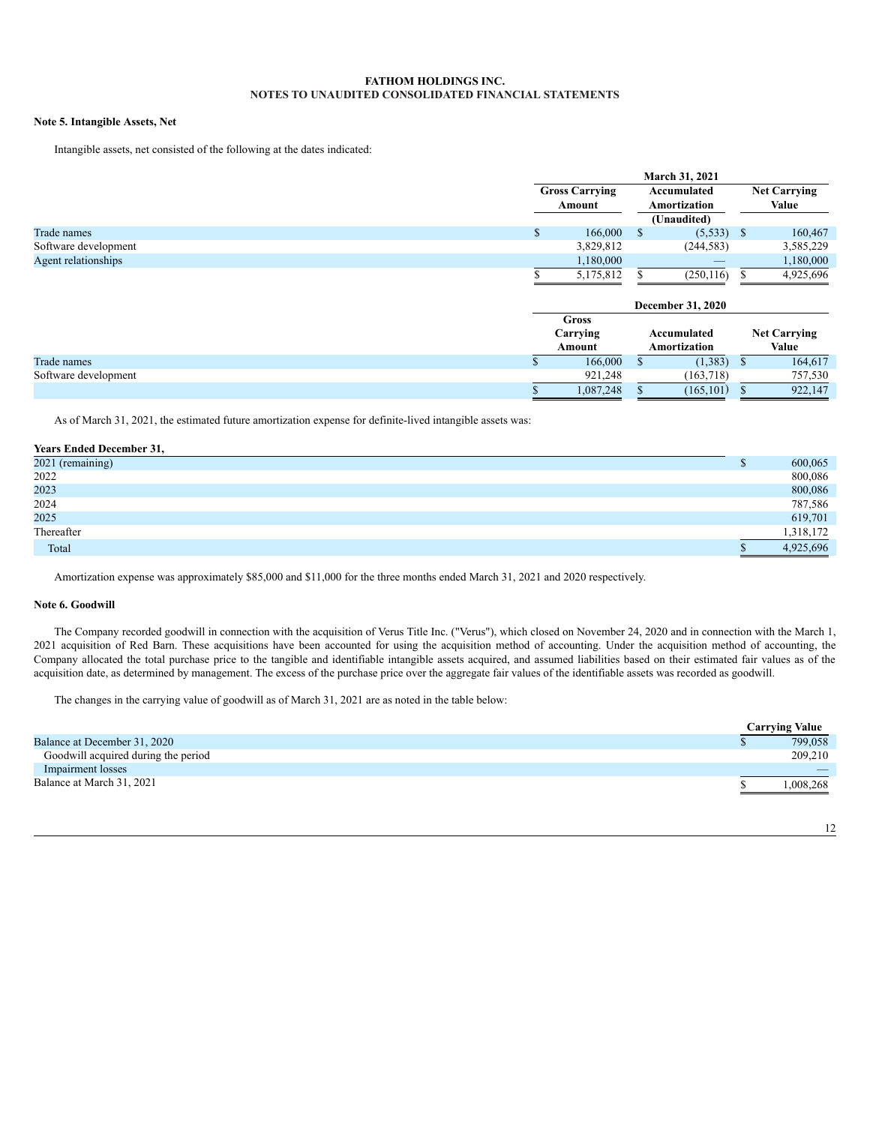### **Note 5. Intangible Assets, Net**

Intangible assets, net consisted of the following at the dates indicated:

|                      | <b>March 31, 2021</b> |                       |                             |                          |               |                     |
|----------------------|-----------------------|-----------------------|-----------------------------|--------------------------|---------------|---------------------|
|                      |                       | <b>Gross Carrying</b> | Accumulated<br>Amortization |                          |               | <b>Net Carrying</b> |
|                      |                       | Amount                |                             |                          |               | Value               |
|                      |                       |                       |                             | (Unaudited)              |               |                     |
| Trade names          | S.                    | 166,000               | - \$                        | $(5,533)$ \$             |               | 160,467             |
| Software development |                       | 3,829,812             |                             | (244, 583)               |               | 3,585,229           |
| Agent relationships  |                       | 1,180,000             |                             |                          |               | 1,180,000           |
|                      |                       | 5,175,812             |                             | (250, 116)               |               | 4,925,696           |
|                      |                       |                       |                             | <b>December 31, 2020</b> |               |                     |
|                      |                       | Gross                 |                             |                          |               |                     |
|                      |                       | Carrying              |                             | Accumulated              |               | <b>Net Carrying</b> |
|                      |                       | Amount                |                             | Amortization             |               | Value               |
| Trade names          |                       | 166,000               |                             | (1,383)                  | <sup>\$</sup> | 164,617             |
| Software development |                       | 921,248               |                             | (163, 718)               |               | 757,530             |
|                      |                       | 1,087,248             |                             | (165, 101)               |               | 922,147             |

As of March 31, 2021, the estimated future amortization expense for definite-lived intangible assets was:

| <b>Years Ended December 31,</b> |           |
|---------------------------------|-----------|
| 2021 (remaining)                | 600,065   |
| 2022                            | 800,086   |
| 2023                            | 800,086   |
| 2024                            | 787,586   |
| 2025                            | 619,701   |
| Thereafter                      | 1,318,172 |
| Total                           | 4,925,696 |

Amortization expense was approximately \$85,000 and \$11,000 for the three months ended March 31, 2021 and 2020 respectively.

## **Note 6. Goodwill**

The Company recorded goodwill in connection with the acquisition of Verus Title Inc. ("Verus"), which closed on November 24, 2020 and in connection with the March 1, 2021 acquisition of Red Barn. These acquisitions have been accounted for using the acquisition method of accounting. Under the acquisition method of accounting, the Company allocated the total purchase price to the tangible and identifiable intangible assets acquired, and assumed liabilities based on their estimated fair values as of the acquisition date, as determined by management. The excess of the purchase price over the aggregate fair values of the identifiable assets was recorded as goodwill.

The changes in the carrying value of goodwill as of March 31, 2021 are as noted in the table below:

|                                     | <b>Carrying Value</b> |
|-------------------------------------|-----------------------|
| Balance at December 31, 2020        | 799.058               |
| Goodwill acquired during the period | 209,210               |
| Impairment losses                   | _                     |
| Balance at March 31, 2021           | .008.268              |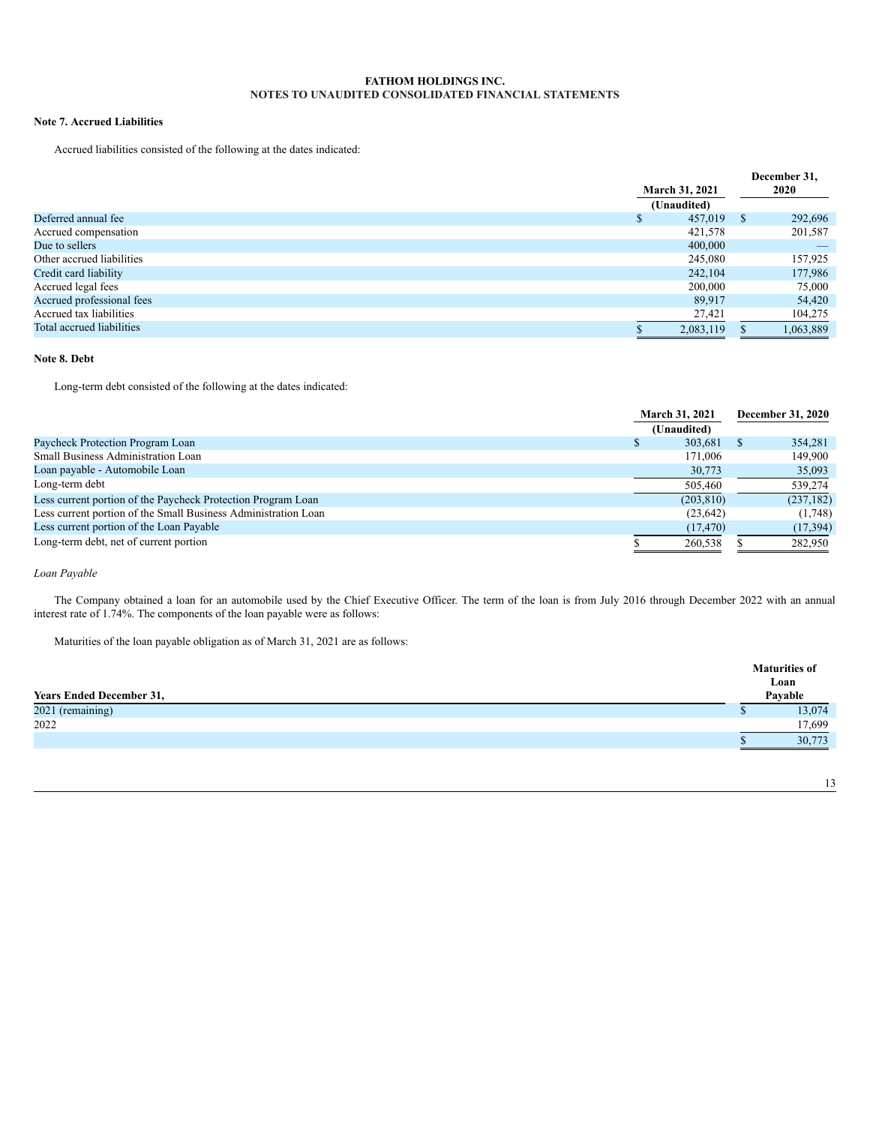## **Note 7. Accrued Liabilities**

Accrued liabilities consisted of the following at the dates indicated:

|                           |    | <b>March 31, 2021</b> |   | December 31,<br><b>2020</b> |  |
|---------------------------|----|-----------------------|---|-----------------------------|--|
|                           |    | (Unaudited)           |   |                             |  |
| Deferred annual fee       | Y. | 457,019               | S | 292,696                     |  |
| Accrued compensation      |    | 421,578               |   | 201,587                     |  |
| Due to sellers            |    | 400,000               |   |                             |  |
| Other accrued liabilities |    | 245,080               |   | 157,925                     |  |
| Credit card liability     |    | 242,104               |   | 177,986                     |  |
| Accrued legal fees        |    | 200,000               |   | 75,000                      |  |
| Accrued professional fees |    | 89.917                |   | 54,420                      |  |
| Accrued tax liabilities   |    | 27,421                |   | 104,275                     |  |
| Total accrued liabilities |    | 2,083,119             |   | 1,063,889                   |  |

## **Note 8. Debt**

Long-term debt consisted of the following at the dates indicated:

|                                                                | <b>March 31, 2021</b> | <b>December 31, 2020</b> |
|----------------------------------------------------------------|-----------------------|--------------------------|
|                                                                | (Unaudited)           |                          |
| Paycheck Protection Program Loan                               | 303,681               | 354,281                  |
| Small Business Administration Loan                             | 171.006               | 149.900                  |
| Loan payable - Automobile Loan                                 | 30,773                | 35,093                   |
| Long-term debt                                                 | 505.460               | 539,274                  |
| Less current portion of the Paycheck Protection Program Loan   | (203, 810)            | (237, 182)               |
| Less current portion of the Small Business Administration Loan | (23, 642)             | (1,748)                  |
| Less current portion of the Loan Payable                       | (17, 470)             | (17,394)                 |
| Long-term debt, net of current portion                         | 260,538               | 282,950                  |

## *Loan Payable*

The Company obtained a loan for an automobile used by the Chief Executive Officer. The term of the loan is from July 2016 through December 2022 with an annual interest rate of 1.74%. The components of the loan payable were as follows:

Maturities of the loan payable obligation as of March 31, 2021 are as follows:

|                                 | <b>Maturities of</b> |
|---------------------------------|----------------------|
|                                 | Loan                 |
| <b>Years Ended December 31,</b> | Payable              |
| 2021 (remaining)                | 13,074               |
| 2022                            | 17,699               |
|                                 | 30,773               |
|                                 |                      |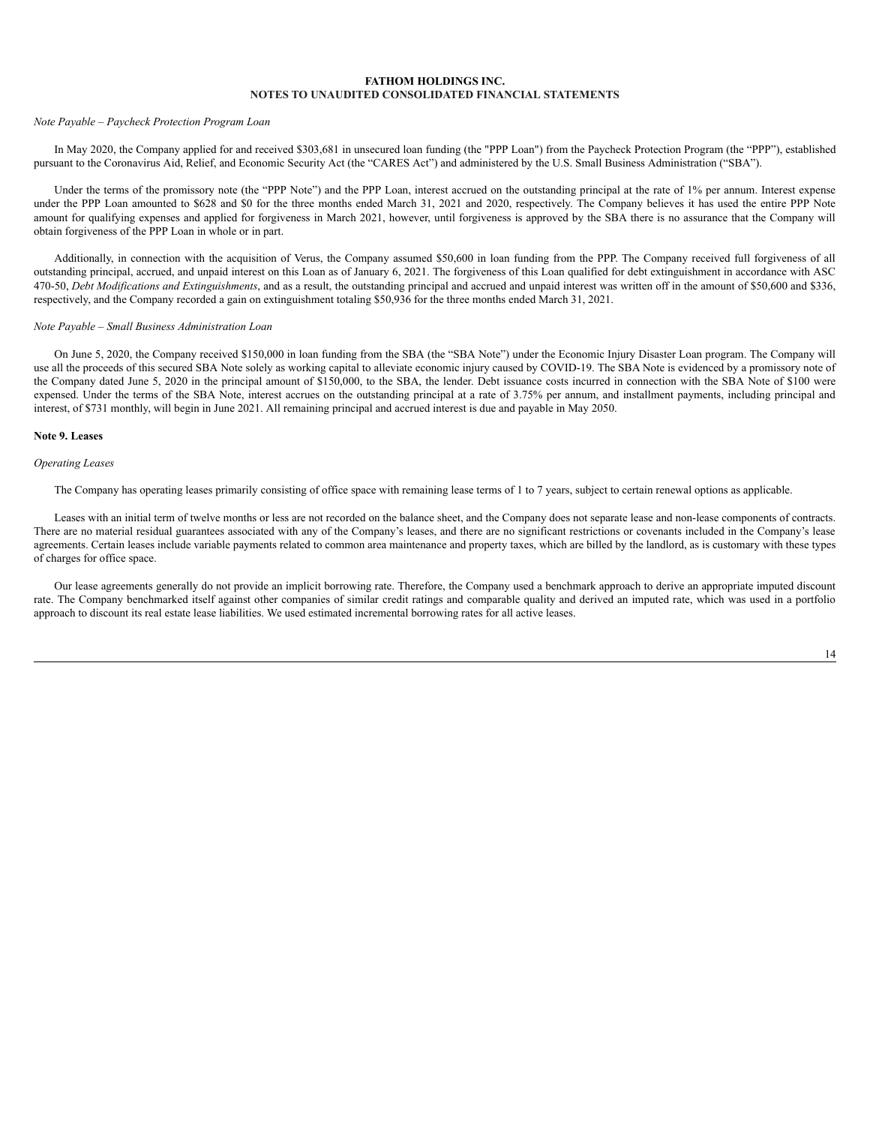#### *Note Payable – Paycheck Protection Program Loan*

In May 2020, the Company applied for and received \$303,681 in unsecured loan funding (the "PPP Loan") from the Paycheck Protection Program (the "PPP"), established pursuant to the Coronavirus Aid, Relief, and Economic Security Act (the "CARES Act") and administered by the U.S. Small Business Administration ("SBA").

Under the terms of the promissory note (the "PPP Note") and the PPP Loan, interest accrued on the outstanding principal at the rate of 1% per annum. Interest expense under the PPP Loan amounted to \$628 and \$0 for the three months ended March 31, 2021 and 2020, respectively. The Company believes it has used the entire PPP Note amount for qualifying expenses and applied for forgiveness in March 2021, however, until forgiveness is approved by the SBA there is no assurance that the Company will obtain forgiveness of the PPP Loan in whole or in part.

Additionally, in connection with the acquisition of Verus, the Company assumed \$50,600 in loan funding from the PPP. The Company received full forgiveness of all outstanding principal, accrued, and unpaid interest on this Loan as of January 6, 2021. The forgiveness of this Loan qualified for debt extinguishment in accordance with ASC 470-50, *Debt Modifications and Extinguishments*, and as a result, the outstanding principal and accrued and unpaid interest was written off in the amount of \$50,600 and \$336, respectively, and the Company recorded a gain on extinguishment totaling \$50,936 for the three months ended March 31, 2021.

### *Note Payable – Small Business Administration Loan*

On June 5, 2020, the Company received \$150,000 in loan funding from the SBA (the "SBA Note") under the Economic Injury Disaster Loan program. The Company will use all the proceeds of this secured SBA Note solely as working capital to alleviate economic injury caused by COVID-19. The SBA Note is evidenced by a promissory note of the Company dated June 5, 2020 in the principal amount of \$150,000, to the SBA, the lender. Debt issuance costs incurred in connection with the SBA Note of \$100 were expensed. Under the terms of the SBA Note, interest accrues on the outstanding principal at a rate of 3.75% per annum, and installment payments, including principal and interest, of \$731 monthly, will begin in June 2021. All remaining principal and accrued interest is due and payable in May 2050.

### **Note 9. Leases**

#### *Operating Leases*

The Company has operating leases primarily consisting of office space with remaining lease terms of 1 to 7 years, subject to certain renewal options as applicable.

Leases with an initial term of twelve months or less are not recorded on the balance sheet, and the Company does not separate lease and non-lease components of contracts. There are no material residual guarantees associated with any of the Company's leases, and there are no significant restrictions or covenants included in the Company's lease agreements. Certain leases include variable payments related to common area maintenance and property taxes, which are billed by the landlord, as is customary with these types of charges for office space.

Our lease agreements generally do not provide an implicit borrowing rate. Therefore, the Company used a benchmark approach to derive an appropriate imputed discount rate. The Company benchmarked itself against other companies of similar credit ratings and comparable quality and derived an imputed rate, which was used in a portfolio approach to discount its real estate lease liabilities. We used estimated incremental borrowing rates for all active leases.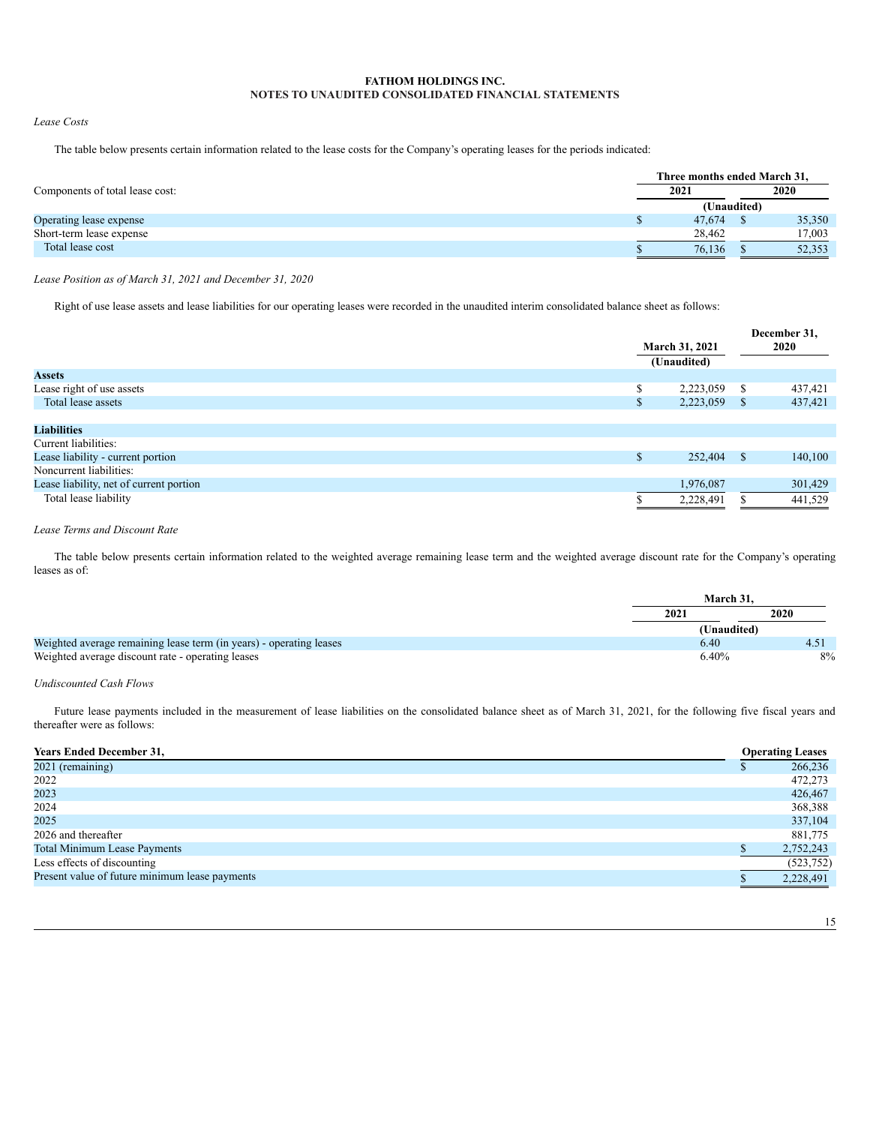## *Lease Costs*

The table below presents certain information related to the lease costs for the Company's operating leases for the periods indicated:

|                                 | Three months ended March 31. |             |        |
|---------------------------------|------------------------------|-------------|--------|
| Components of total lease cost: | 2021                         |             | 2020   |
|                                 |                              | (Unaudited) |        |
| Operating lease expense         | 47.674                       |             | 35,350 |
| Short-term lease expense        | 28.462                       |             | 17.003 |
| Total lease cost                | 76.136                       |             | 52.353 |

## *Lease Position as of March 31, 2021 and December 31, 2020*

Right of use lease assets and lease liabilities for our operating leases were recorded in the unaudited interim consolidated balance sheet as follows:

|                                         |   | <b>March 31, 2021</b> |              | December 31,<br><b>2020</b> |
|-----------------------------------------|---|-----------------------|--------------|-----------------------------|
|                                         |   | (Unaudited)           |              |                             |
| <b>Assets</b>                           |   |                       |              |                             |
| Lease right of use assets               | D | 2,223,059             | S            | 437,421                     |
| Total lease assets                      | S | 2,223,059             | <sup>S</sup> | 437,421                     |
|                                         |   |                       |              |                             |
| <b>Liabilities</b>                      |   |                       |              |                             |
| Current liabilities:                    |   |                       |              |                             |
| Lease liability - current portion       | S | 252,404               | <sup>S</sup> | 140,100                     |
| Noncurrent liabilities:                 |   |                       |              |                             |
| Lease liability, net of current portion |   | 1,976,087             |              | 301,429                     |
| Total lease liability                   |   | 2,228,491             |              | 441,529                     |

## *Lease Terms and Discount Rate*

The table below presents certain information related to the weighted average remaining lease term and the weighted average discount rate for the Company's operating leases as of:

|                                                                     | March 31.   |               |
|---------------------------------------------------------------------|-------------|---------------|
|                                                                     | 2021        | 2020          |
|                                                                     | (Unaudited) |               |
| Weighted average remaining lease term (in years) - operating leases | 6.40        | $4.5^{\circ}$ |
| Weighted average discount rate - operating leases                   | 6.40%       | 8%            |

## *Undiscounted Cash Flows*

Future lease payments included in the measurement of lease liabilities on the consolidated balance sheet as of March 31, 2021, for the following five fiscal years and thereafter were as follows:

| <b>Years Ended December 31,</b>                | <b>Operating Leases</b> |
|------------------------------------------------|-------------------------|
| 2021 (remaining)                               | 266,236                 |
| 2022                                           | 472,273                 |
| 2023                                           | 426,467                 |
| 2024                                           | 368,388                 |
| 2025                                           | 337,104                 |
| 2026 and thereafter                            | 881,775                 |
| <b>Total Minimum Lease Payments</b>            | 2,752,243               |
| Less effects of discounting                    | (523, 752)              |
| Present value of future minimum lease payments | 2,228,491               |

15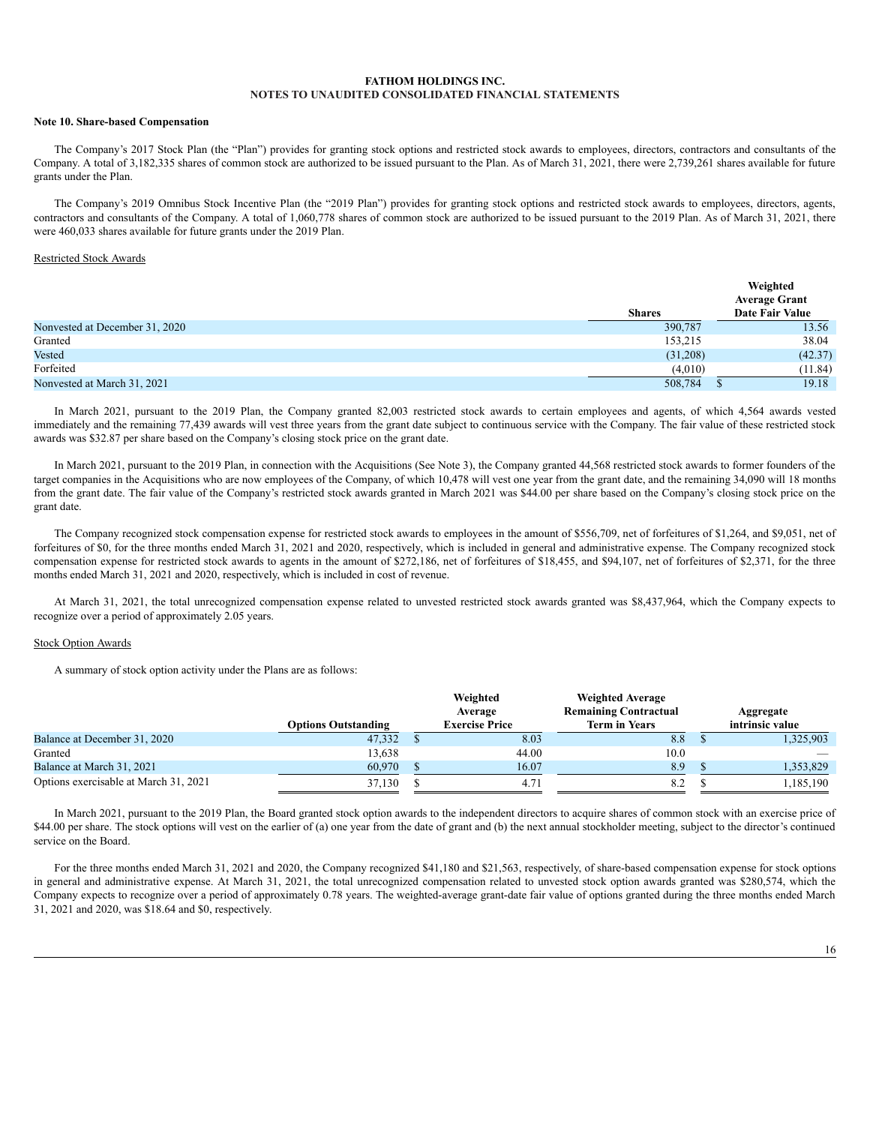#### **Note 10. Share-based Compensation**

The Company's 2017 Stock Plan (the "Plan") provides for granting stock options and restricted stock awards to employees, directors, contractors and consultants of the Company. A total of 3,182,335 shares of common stock are authorized to be issued pursuant to the Plan. As of March 31, 2021, there were 2,739,261 shares available for future grants under the Plan.

The Company's 2019 Omnibus Stock Incentive Plan (the "2019 Plan") provides for granting stock options and restricted stock awards to employees, directors, agents, contractors and consultants of the Company. A total of 1,060,778 shares of common stock are authorized to be issued pursuant to the 2019 Plan. As of March 31, 2021, there were 460,033 shares available for future grants under the 2019 Plan.

### Restricted Stock Awards

|                                |               | Weighted<br><b>Average Grant</b><br>Date Fair Value |
|--------------------------------|---------------|-----------------------------------------------------|
|                                | <b>Shares</b> |                                                     |
| Nonvested at December 31, 2020 | 390,787       | 13.56                                               |
| Granted                        | 153,215       | 38.04                                               |
| Vested                         | (31,208)      | (42.37)                                             |
| Forfeited                      | (4,010)       | (11.84)                                             |
| Nonvested at March 31, 2021    | 508,784       | 19.18                                               |

In March 2021, pursuant to the 2019 Plan, the Company granted 82,003 restricted stock awards to certain employees and agents, of which 4,564 awards vested immediately and the remaining 77,439 awards will vest three years from the grant date subject to continuous service with the Company. The fair value of these restricted stock awards was \$32.87 per share based on the Company's closing stock price on the grant date.

In March 2021, pursuant to the 2019 Plan, in connection with the Acquisitions (See Note 3), the Company granted 44,568 restricted stock awards to former founders of the target companies in the Acquisitions who are now employees of the Company, of which 10,478 will vest one year from the grant date, and the remaining 34,090 will 18 months from the grant date. The fair value of the Company's restricted stock awards granted in March 2021 was \$44.00 per share based on the Company's closing stock price on the grant date.

The Company recognized stock compensation expense for restricted stock awards to employees in the amount of \$556,709, net of forfeitures of \$1,264, and \$9,051, net of forfeitures of \$0, for the three months ended March 31, 2021 and 2020, respectively, which is included in general and administrative expense. The Company recognized stock compensation expense for restricted stock awards to agents in the amount of \$272,186, net of forfeitures of \$18,455, and \$94,107, net of forfeitures of \$2,371, for the three months ended March 31, 2021 and 2020, respectively, which is included in cost of revenue.

At March 31, 2021, the total unrecognized compensation expense related to unvested restricted stock awards granted was \$8,437,964, which the Company expects to recognize over a period of approximately 2.05 years.

### Stock Option Awards

A summary of stock option activity under the Plans are as follows:

|                                       | <b>Options Outstanding</b> | Weighted<br>Average<br><b>Exercise Price</b> | <b>Weighted Average</b><br><b>Remaining Contractual</b><br><b>Term in Years</b> | Aggregate<br>intrinsic value |
|---------------------------------------|----------------------------|----------------------------------------------|---------------------------------------------------------------------------------|------------------------------|
| Balance at December 31, 2020          | 47,332                     | 8.03                                         | 8.8                                                                             | 1,325,903                    |
| Granted                               | 13.638                     | 44.00                                        | 10.0                                                                            |                              |
| Balance at March 31, 2021             | 60.970                     | 16.07                                        | 8.9                                                                             | 1,353,829                    |
| Options exercisable at March 31, 2021 | 37.130                     | 4.7                                          | 8.2                                                                             | 1,185,190                    |

In March 2021, pursuant to the 2019 Plan, the Board granted stock option awards to the independent directors to acquire shares of common stock with an exercise price of \$44.00 per share. The stock options will vest on the earlier of (a) one year from the date of grant and (b) the next annual stockholder meeting, subject to the director's continued service on the Board.

For the three months ended March 31, 2021 and 2020, the Company recognized \$41,180 and \$21,563, respectively, of share-based compensation expense for stock options in general and administrative expense. At March 31, 2021, the total unrecognized compensation related to unvested stock option awards granted was \$280,574, which the Company expects to recognize over a period of approximately 0.78 years. The weighted-average grant-date fair value of options granted during the three months ended March 31, 2021 and 2020, was \$18.64 and \$0, respectively.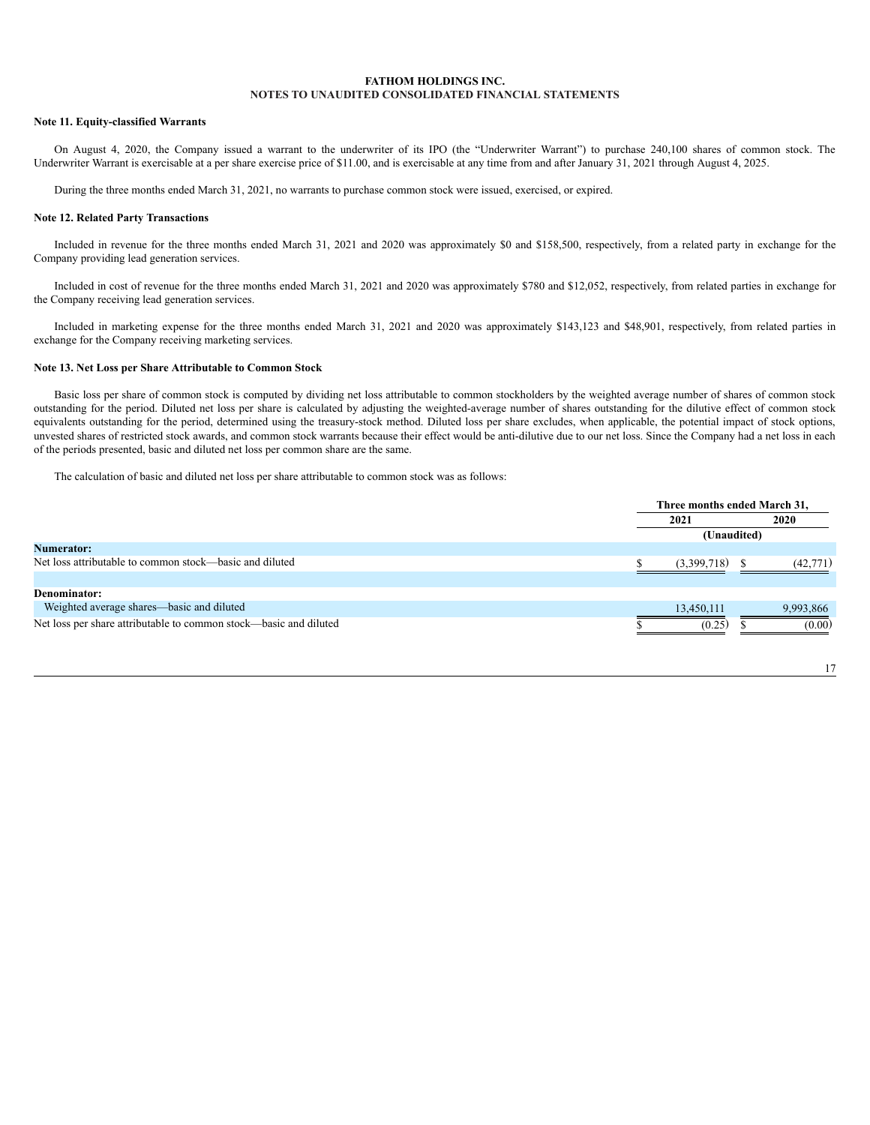### **Note 11. Equity-classified Warrants**

On August 4, 2020, the Company issued a warrant to the underwriter of its IPO (the "Underwriter Warrant") to purchase 240,100 shares of common stock. The Underwriter Warrant is exercisable at a per share exercise price of \$11.00, and is exercisable at any time from and after January 31, 2021 through August 4, 2025.

During the three months ended March 31, 2021, no warrants to purchase common stock were issued, exercised, or expired.

## **Note 12. Related Party Transactions**

Included in revenue for the three months ended March 31, 2021 and 2020 was approximately \$0 and \$158,500, respectively, from a related party in exchange for the Company providing lead generation services.

Included in cost of revenue for the three months ended March 31, 2021 and 2020 was approximately \$780 and \$12,052, respectively, from related parties in exchange for the Company receiving lead generation services.

Included in marketing expense for the three months ended March 31, 2021 and 2020 was approximately \$143,123 and \$48,901, respectively, from related parties in exchange for the Company receiving marketing services.

### **Note 13. Net Loss per Share Attributable to Common Stock**

Basic loss per share of common stock is computed by dividing net loss attributable to common stockholders by the weighted average number of shares of common stock outstanding for the period. Diluted net loss per share is calculated by adjusting the weighted-average number of shares outstanding for the dilutive effect of common stock equivalents outstanding for the period, determined using the treasury-stock method. Diluted loss per share excludes, when applicable, the potential impact of stock options, unvested shares of restricted stock awards, and common stock warrants because their effect would be anti-dilutive due to our net loss. Since the Company had a net loss in each of the periods presented, basic and diluted net loss per common share are the same.

The calculation of basic and diluted net loss per share attributable to common stock was as follows:

|                                                                   | Three months ended March 31, |  |           |  |
|-------------------------------------------------------------------|------------------------------|--|-----------|--|
|                                                                   | 2021                         |  | 2020      |  |
|                                                                   | (Unaudited)                  |  |           |  |
| <b>Numerator:</b>                                                 |                              |  |           |  |
| Net loss attributable to common stock—basic and diluted           | (3,399,718)                  |  | (42, 771) |  |
| Denominator:                                                      |                              |  |           |  |
| Weighted average shares-basic and diluted                         | 13,450,111                   |  | 9,993,866 |  |
| Net loss per share attributable to common stock—basic and diluted | (0.25)                       |  | (0.00)    |  |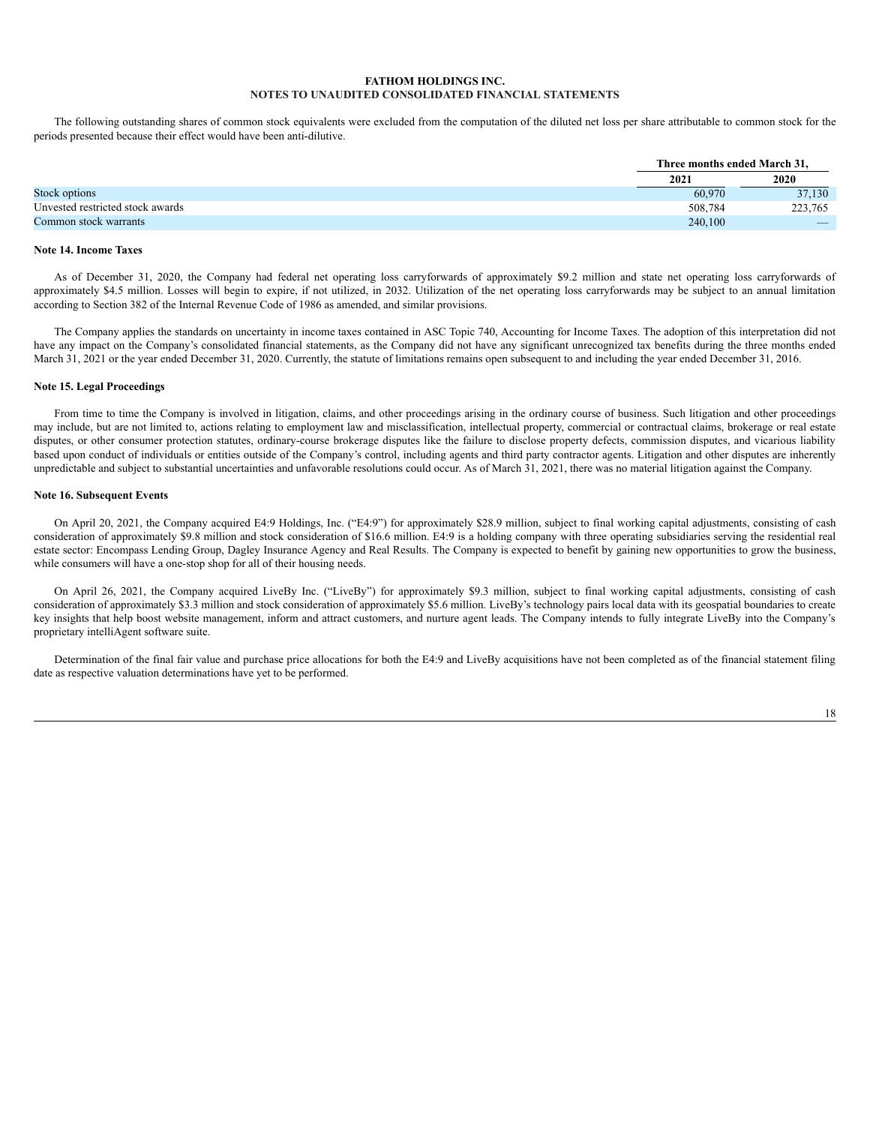The following outstanding shares of common stock equivalents were excluded from the computation of the diluted net loss per share attributable to common stock for the periods presented because their effect would have been anti-dilutive.

| 2020<br>2021<br>Stock options               | Three months ended March 31, |         |
|---------------------------------------------|------------------------------|---------|
|                                             |                              |         |
|                                             | 60,970                       | 37,130  |
| Unvested restricted stock awards<br>508,784 |                              | 223,765 |
| 240,100<br>Common stock warrants            |                              |         |

### **Note 14. Income Taxes**

As of December 31, 2020, the Company had federal net operating loss carryforwards of approximately \$9.2 million and state net operating loss carryforwards of approximately \$4.5 million. Losses will begin to expire, if not utilized, in 2032. Utilization of the net operating loss carryforwards may be subject to an annual limitation according to Section 382 of the Internal Revenue Code of 1986 as amended, and similar provisions.

The Company applies the standards on uncertainty in income taxes contained in ASC Topic 740, Accounting for Income Taxes. The adoption of this interpretation did not have any impact on the Company's consolidated financial statements, as the Company did not have any significant unrecognized tax benefits during the three months ended March 31, 2021 or the year ended December 31, 2020. Currently, the statute of limitations remains open subsequent to and including the year ended December 31, 2016.

### **Note 15. Legal Proceedings**

From time to time the Company is involved in litigation, claims, and other proceedings arising in the ordinary course of business. Such litigation and other proceedings may include, but are not limited to, actions relating to employment law and misclassification, intellectual property, commercial or contractual claims, brokerage or real estate disputes, or other consumer protection statutes, ordinary-course brokerage disputes like the failure to disclose property defects, commission disputes, and vicarious liability based upon conduct of individuals or entities outside of the Company's control, including agents and third party contractor agents. Litigation and other disputes are inherently unpredictable and subject to substantial uncertainties and unfavorable resolutions could occur. As of March 31, 2021, there was no material litigation against the Company.

## **Note 16. Subsequent Events**

On April 20, 2021, the Company acquired E4:9 Holdings, Inc. ("E4:9") for approximately \$28.9 million, subject to final working capital adjustments, consisting of cash consideration of approximately \$9.8 million and stock consideration of \$16.6 million. E4:9 is a holding company with three operating subsidiaries serving the residential real estate sector: Encompass Lending Group, Dagley Insurance Agency and Real Results. The Company is expected to benefit by gaining new opportunities to grow the business, while consumers will have a one-stop shop for all of their housing needs.

On April 26, 2021, the Company acquired LiveBy Inc. ("LiveBy") for approximately \$9.3 million, subject to final working capital adjustments, consisting of cash consideration of approximately \$3.3 million and stock consideration of approximately \$5.6 million. LiveBy's technology pairs local data with its geospatial boundaries to create key insights that help boost website management, inform and attract customers, and nurture agent leads. The Company intends to fully integrate LiveBy into the Company's proprietary intelliAgent software suite.

Determination of the final fair value and purchase price allocations for both the E4:9 and LiveBy acquisitions have not been completed as of the financial statement filing date as respective valuation determinations have yet to be performed.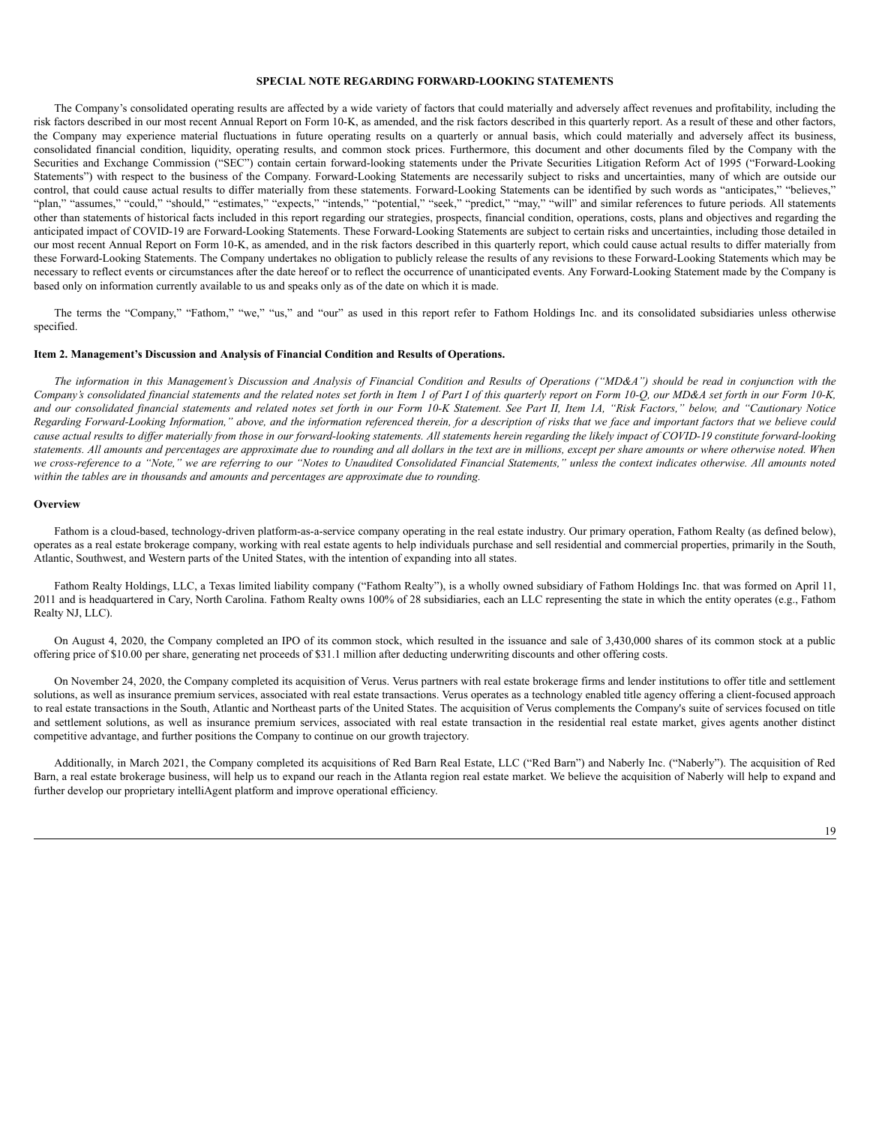### **SPECIAL NOTE REGARDING FORWARD-LOOKING STATEMENTS**

The Company's consolidated operating results are affected by a wide variety of factors that could materially and adversely affect revenues and profitability, including the risk factors described in our most recent Annual Report on Form 10-K, as amended, and the risk factors described in this quarterly report. As a result of these and other factors, the Company may experience material fluctuations in future operating results on a quarterly or annual basis, which could materially and adversely affect its business, consolidated financial condition, liquidity, operating results, and common stock prices. Furthermore, this document and other documents filed by the Company with the Securities and Exchange Commission ("SEC") contain certain forward-looking statements under the Private Securities Litigation Reform Act of 1995 ("Forward-Looking Statements") with respect to the business of the Company. Forward-Looking Statements are necessarily subject to risks and uncertainties, many of which are outside our control, that could cause actual results to differ materially from these statements. Forward-Looking Statements can be identified by such words as "anticipates," "believes," "potential," "assumes," "could," "should," "estimates," "expects," "intends," "potential," "seek," "predict," "may," "will" and similar references to future periods. All statements other than statements of historical facts included in this report regarding our strategies, prospects, financial condition, operations, costs, plans and objectives and regarding the anticipated impact of COVID-19 are Forward-Looking Statements. These Forward-Looking Statements are subject to certain risks and uncertainties, including those detailed in our most recent Annual Report on Form 10-K, as amended, and in the risk factors described in this quarterly report, which could cause actual results to differ materially from these Forward-Looking Statements. The Company undertakes no obligation to publicly release the results of any revisions to these Forward-Looking Statements which may be necessary to reflect events or circumstances after the date hereof or to reflect the occurrence of unanticipated events. Any Forward-Looking Statement made by the Company is based only on information currently available to us and speaks only as of the date on which it is made.

The terms the "Company," "Fathom," "we," "us," and "our" as used in this report refer to Fathom Holdings Inc. and its consolidated subsidiaries unless otherwise specified.

### <span id="page-18-0"></span>**Item 2. Management's Discussion and Analysis of Financial Condition and Results of Operations.**

The information in this Management's Discussion and Analysis of Financial Condition and Results of Operations ("MD&A") should be read in conjunction with the Company's consolidated financial statements and the related notes set forth in Item 1 of Part I of this quarterly report on Form 10-O, our MD&A set forth in our Form 10-K, and our consolidated financial statements and related notes set forth in our Form 10-K Statement. See Part II, Item 1A, "Risk Factors," below, and "Cautionary Notice Regarding Forward-Looking Information," above, and the information referenced therein, for a description of risks that we face and important factors that we believe could cause actual results to differ materially from those in our forward-looking statements. All statements herein regarding the likely impact of COVID-19 constitute forward-looking statements. All amounts and percentages are approximate due to rounding and all dollars in the text are in millions, except per share amounts or where otherwise noted. When we cross-reference to a "Note," we are referring to our "Notes to Unaudited Consolidated Financial Statements," unless the context indicates otherwise. All amounts noted *within the tables are in thousands and amounts and percentages are approximate due to rounding.*

#### **Overview**

Fathom is a cloud-based, technology-driven platform-as-a-service company operating in the real estate industry. Our primary operation, Fathom Realty (as defined below), operates as a real estate brokerage company, working with real estate agents to help individuals purchase and sell residential and commercial properties, primarily in the South, Atlantic, Southwest, and Western parts of the United States, with the intention of expanding into all states.

Fathom Realty Holdings, LLC, a Texas limited liability company ("Fathom Realty"), is a wholly owned subsidiary of Fathom Holdings Inc. that was formed on April 11, 2011 and is headquartered in Cary, North Carolina. Fathom Realty owns 100% of 28 subsidiaries, each an LLC representing the state in which the entity operates (e.g., Fathom Realty NJ, LLC).

On August 4, 2020, the Company completed an IPO of its common stock, which resulted in the issuance and sale of 3,430,000 shares of its common stock at a public offering price of \$10.00 per share, generating net proceeds of \$31.1 million after deducting underwriting discounts and other offering costs.

On November 24, 2020, the Company completed its acquisition of Verus. Verus partners with real estate brokerage firms and lender institutions to offer title and settlement solutions, as well as insurance premium services, associated with real estate transactions. Verus operates as a technology enabled title agency offering a client-focused approach to real estate transactions in the South, Atlantic and Northeast parts of the United States. The acquisition of Verus complements the Company's suite of services focused on title and settlement solutions, as well as insurance premium services, associated with real estate transaction in the residential real estate market, gives agents another distinct competitive advantage, and further positions the Company to continue on our growth trajectory.

Additionally, in March 2021, the Company completed its acquisitions of Red Barn Real Estate, LLC ("Red Barn") and Naberly Inc. ("Naberly"). The acquisition of Red Barn, a real estate brokerage business, will help us to expand our reach in the Atlanta region real estate market. We believe the acquisition of Naberly will help to expand and further develop our proprietary intelliAgent platform and improve operational efficiency.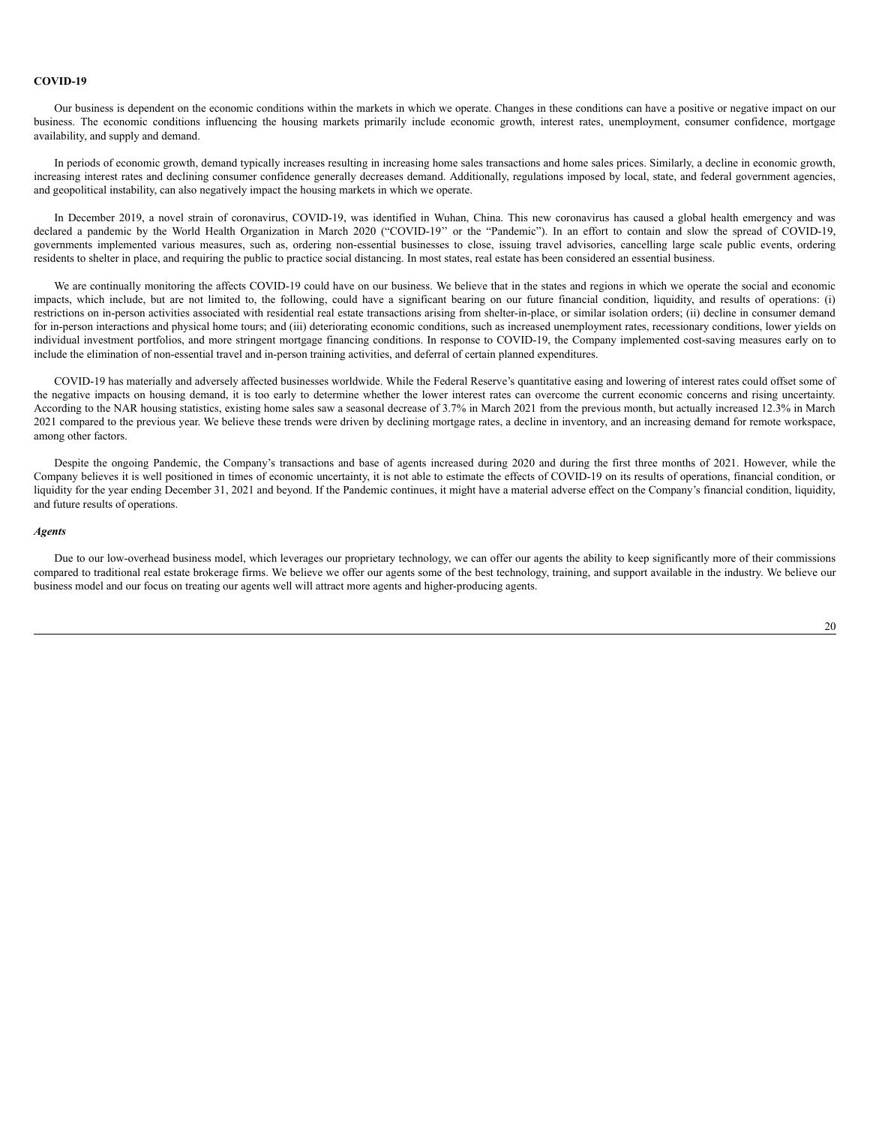### **COVID-19**

Our business is dependent on the economic conditions within the markets in which we operate. Changes in these conditions can have a positive or negative impact on our business. The economic conditions influencing the housing markets primarily include economic growth, interest rates, unemployment, consumer confidence, mortgage availability, and supply and demand.

In periods of economic growth, demand typically increases resulting in increasing home sales transactions and home sales prices. Similarly, a decline in economic growth, increasing interest rates and declining consumer confidence generally decreases demand. Additionally, regulations imposed by local, state, and federal government agencies, and geopolitical instability, can also negatively impact the housing markets in which we operate.

In December 2019, a novel strain of coronavirus, COVID-19, was identified in Wuhan, China. This new coronavirus has caused a global health emergency and was declared a pandemic by the World Health Organization in March 2020 ("COVID-19" or the "Pandemic"). In an effort to contain and slow the spread of COVID-19, governments implemented various measures, such as, ordering non-essential businesses to close, issuing travel advisories, cancelling large scale public events, ordering residents to shelter in place, and requiring the public to practice social distancing. In most states, real estate has been considered an essential business.

We are continually monitoring the affects COVID-19 could have on our business. We believe that in the states and regions in which we operate the social and economic impacts, which include, but are not limited to, the following, could have a significant bearing on our future financial condition, liquidity, and results of operations: (i) restrictions on in-person activities associated with residential real estate transactions arising from shelter-in-place, or similar isolation orders; (ii) decline in consumer demand for in-person interactions and physical home tours; and (iii) deteriorating economic conditions, such as increased unemployment rates, recessionary conditions, lower yields on individual investment portfolios, and more stringent mortgage financing conditions. In response to COVID-19, the Company implemented cost-saving measures early on to include the elimination of non-essential travel and in-person training activities, and deferral of certain planned expenditures.

COVID-19 has materially and adversely affected businesses worldwide. While the Federal Reserve's quantitative easing and lowering of interest rates could offset some of the negative impacts on housing demand, it is too early to determine whether the lower interest rates can overcome the current economic concerns and rising uncertainty. According to the NAR housing statistics, existing home sales saw a seasonal decrease of 3.7% in March 2021 from the previous month, but actually increased 12.3% in March 2021 compared to the previous year. We believe these trends were driven by declining mortgage rates, a decline in inventory, and an increasing demand for remote workspace, among other factors.

Despite the ongoing Pandemic, the Company's transactions and base of agents increased during 2020 and during the first three months of 2021. However, while the Company believes it is well positioned in times of economic uncertainty, it is not able to estimate the effects of COVID-19 on its results of operations, financial condition, or liquidity for the year ending December 31, 2021 and beyond. If the Pandemic continues, it might have a material adverse effect on the Company's financial condition, liquidity, and future results of operations.

#### *Agents*

Due to our low-overhead business model, which leverages our proprietary technology, we can offer our agents the ability to keep significantly more of their commissions compared to traditional real estate brokerage firms. We believe we offer our agents some of the best technology, training, and support available in the industry. We believe our business model and our focus on treating our agents well will attract more agents and higher-producing agents.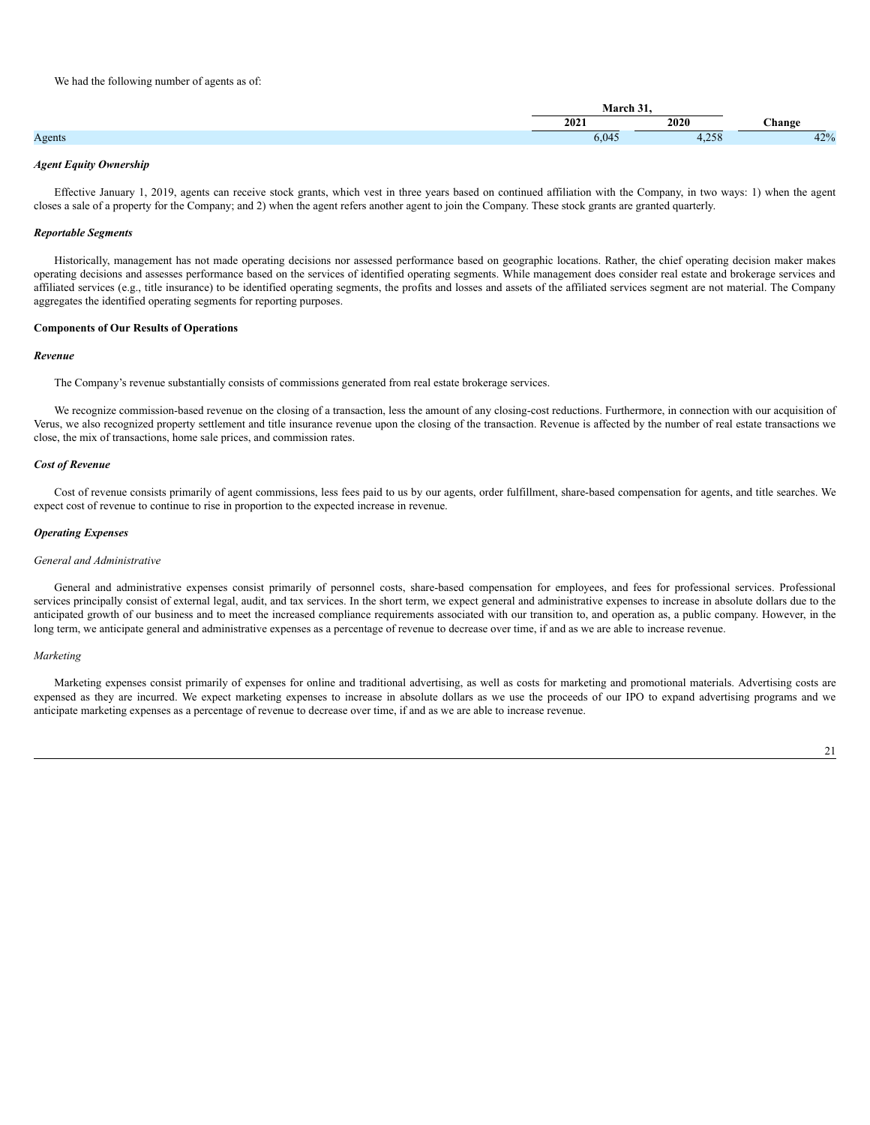We had the following number of agents as of:

|                                       | 202 | חרחר                 |      |
|---------------------------------------|-----|----------------------|------|
| $\sim$ $\sim$ $\sim$<br>сп.<br>$\sim$ |     | $\epsilon$<br>$\sim$ | 120/ |

### *Agent Equity Ownership*

Effective January 1, 2019, agents can receive stock grants, which vest in three years based on continued affiliation with the Company, in two ways: 1) when the agent closes a sale of a property for the Company; and 2) when the agent refers another agent to join the Company. These stock grants are granted quarterly.

### *Reportable Segments*

Historically, management has not made operating decisions nor assessed performance based on geographic locations. Rather, the chief operating decision maker makes operating decisions and assesses performance based on the services of identified operating segments. While management does consider real estate and brokerage services and affiliated services (e.g., title insurance) to be identified operating segments, the profits and losses and assets of the affiliated services segment are not material. The Company aggregates the identified operating segments for reporting purposes.

#### **Components of Our Results of Operations**

#### *Revenue*

The Company's revenue substantially consists of commissions generated from real estate brokerage services.

We recognize commission-based revenue on the closing of a transaction, less the amount of any closing-cost reductions. Furthermore, in connection with our acquisition of Verus, we also recognized property settlement and title insurance revenue upon the closing of the transaction. Revenue is affected by the number of real estate transactions we close, the mix of transactions, home sale prices, and commission rates.

### *Cost of Revenue*

Cost of revenue consists primarily of agent commissions, less fees paid to us by our agents, order fulfillment, share-based compensation for agents, and title searches. We expect cost of revenue to continue to rise in proportion to the expected increase in revenue.

### *Operating Expenses*

### *General and Administrative*

General and administrative expenses consist primarily of personnel costs, share-based compensation for employees, and fees for professional services. Professional services principally consist of external legal, audit, and tax services. In the short term, we expect general and administrative expenses to increase in absolute dollars due to the anticipated growth of our business and to meet the increased compliance requirements associated with our transition to, and operation as, a public company. However, in the long term, we anticipate general and administrative expenses as a percentage of revenue to decrease over time, if and as we are able to increase revenue.

### *Marketing*

Marketing expenses consist primarily of expenses for online and traditional advertising, as well as costs for marketing and promotional materials. Advertising costs are expensed as they are incurred. We expect marketing expenses to increase in absolute dollars as we use the proceeds of our IPO to expand advertising programs and we anticipate marketing expenses as a percentage of revenue to decrease over time, if and as we are able to increase revenue.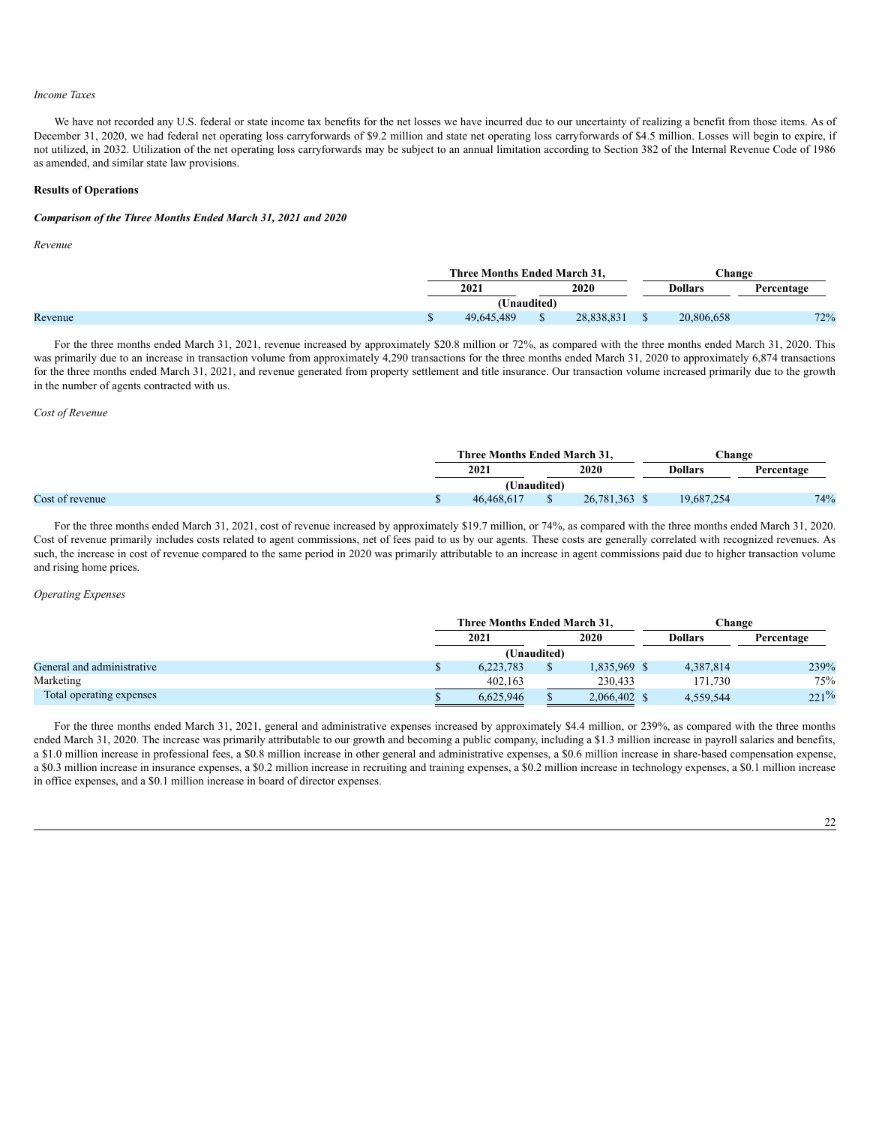## *Income Taxes*

We have not recorded any U.S. federal or state income tax benefits for the net losses we have incurred due to our uncertainty of realizing a benefit from those items. As of December 31, 2020, we had federal net operating loss carryforwards of \$9.2 million and state net operating loss carryforwards of \$4.5 million. Losses will begin to expire, if not utilized, in 2032. Utilization of the net operating loss carryforwards may be subject to an annual limitation according to Section 382 of the Internal Revenue Code of 1986 as amended, and similar state law provisions.

#### **Results of Operations**

## *Comparison of the Three Months Ended March 31, 2021 and 2020*

*Revenue*

|         |      | Three Months Ended March 31. |             |            | Change         |            |            |     |
|---------|------|------------------------------|-------------|------------|----------------|------------|------------|-----|
|         | 2021 |                              | 2020        |            | <b>Dollars</b> |            | Percentage |     |
|         |      |                              | (Unaudited) |            |                |            |            |     |
| Revenue |      | 49.645.489                   |             | 28.838.831 |                | 20,806,658 |            | 72% |

For the three months ended March 31, 2021, revenue increased by approximately \$20.8 million or 72%, as compared with the three months ended March 31, 2020. This was primarily due to an increase in transaction volume from approximately 4,290 transactions for the three months ended March 31, 2020 to approximately 6,874 transactions for the three months ended March 31, 2021, and revenue generated from property settlement and title insurance. Our transaction volume increased primarily due to the growth in the number of agents contracted with us.

### *Cost of Revenue*

|                 |      | <b>Three Months Ended March 31.</b> |      |               |                | Change     |            |  |
|-----------------|------|-------------------------------------|------|---------------|----------------|------------|------------|--|
|                 | 2021 |                                     | 2020 |               | <b>Dollars</b> |            | Percentage |  |
|                 |      | (Unaudited)                         |      |               |                |            |            |  |
| Cost of revenue |      | 46.468.617                          |      | 26,781,363 \$ |                | 19,687,254 | 74%        |  |

For the three months ended March 31, 2021, cost of revenue increased by approximately \$19.7 million, or 74%, as compared with the three months ended March 31, 2020. Cost of revenue primarily includes costs related to agent commissions, net of fees paid to us by our agents. These costs are generally correlated with recognized revenues. As such, the increase in cost of revenue compared to the same period in 2020 was primarily attributable to an increase in agent commissions paid due to higher transaction volume and rising home prices.

#### *Operating Expenses*

|                            | <b>Three Months Ended March 31.</b> |             |              |  | Change         |            |  |
|----------------------------|-------------------------------------|-------------|--------------|--|----------------|------------|--|
|                            | 2021                                |             | 2020         |  | <b>Dollars</b> | Percentage |  |
|                            |                                     | (Unaudited) |              |  |                |            |  |
| General and administrative | 6.223.783                           |             | 1,835,969 \$ |  | 4,387,814      | 239%       |  |
| Marketing                  | 402.163                             |             | 230.433      |  | 171.730        | 75%        |  |
| Total operating expenses   | 6,625,946                           |             | 2,066,402 \$ |  | 4.559.544      | 221%       |  |

For the three months ended March 31, 2021, general and administrative expenses increased by approximately \$4.4 million, or 239%, as compared with the three months ended March 31, 2020. The increase was primarily attributable to our growth and becoming a public company, including a \$1.3 million increase in payroll salaries and benefits, a \$1.0 million increase in professional fees, a \$0.8 million increase in other general and administrative expenses, a \$0.6 million increase in share-based compensation expense, a \$0.3 million increase in insurance expenses, a \$0.2 million increase in recruiting and training expenses, a \$0.2 million increase in technology expenses, a \$0.1 million increase in office expenses, and a \$0.1 million increase in board of director expenses.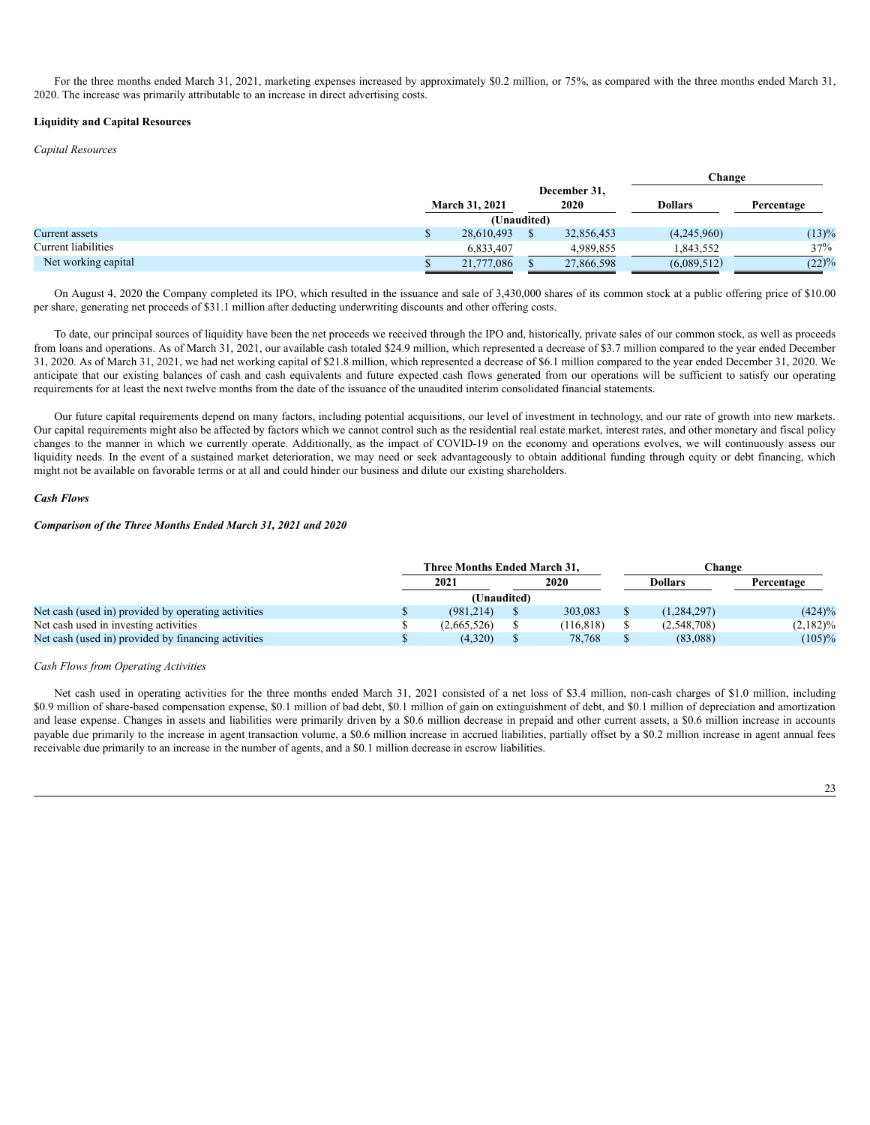For the three months ended March 31, 2021, marketing expenses increased by approximately \$0.2 million, or 75%, as compared with the three months ended March 31, 2020. The increase was primarily attributable to an increase in direct advertising costs.

### **Liquidity and Capital Resources**

## *Capital Resources*

|                     |                       |  |                      | Change         |            |  |
|---------------------|-----------------------|--|----------------------|----------------|------------|--|
|                     | <b>March 31, 2021</b> |  | December 31,<br>2020 | <b>Dollars</b> | Percentage |  |
|                     | (Unaudited)           |  |                      |                |            |  |
| Current assets      | 28,610,493            |  | 32,856,453           | (4,245,960)    | $(13)\%$   |  |
| Current liabilities | 6,833,407             |  | 4,989,855            | .843,552       | 37%        |  |
| Net working capital | 21,777,086            |  | 27,866,598           | (6,089,512)    | (22)%      |  |

On August 4, 2020 the Company completed its IPO, which resulted in the issuance and sale of 3,430,000 shares of its common stock at a public offering price of \$10.00 per share, generating net proceeds of \$31.1 million after deducting underwriting discounts and other offering costs.

To date, our principal sources of liquidity have been the net proceeds we received through the IPO and, historically, private sales of our common stock, as well as proceeds from loans and operations. As of March 31, 2021, our available cash totaled \$24.9 million, which represented a decrease of \$3.7 million compared to the year ended December 31, 2020. As of March 31, 2021, we had net working capital of \$21.8 million, which represented a decrease of \$6.1 million compared to the year ended December 31, 2020. We anticipate that our existing balances of cash and cash equivalents and future expected cash flows generated from our operations will be sufficient to satisfy our operating requirements for at least the next twelve months from the date of the issuance of the unaudited interim consolidated financial statements.

Our future capital requirements depend on many factors, including potential acquisitions, our level of investment in technology, and our rate of growth into new markets. Our capital requirements might also be affected by factors which we cannot control such as the residential real estate market, interest rates, and other monetary and fiscal policy changes to the manner in which we currently operate. Additionally, as the impact of COVID-19 on the economy and operations evolves, we will continuously assess our liquidity needs. In the event of a sustained market deterioration, we may need or seek advantageously to obtain additional funding through equity or debt financing, which might not be available on favorable terms or at all and could hinder our business and dilute our existing shareholders.

### *Cash Flows*

### *Comparison of the Three Months Ended March 31, 2021 and 2020*

|                                                     | <b>Three Months Ended March 31.</b> |             |                |           |            | <b>Change</b> |             |
|-----------------------------------------------------|-------------------------------------|-------------|----------------|-----------|------------|---------------|-------------|
|                                                     | 2021<br><b>2020</b>                 |             | <b>Dollars</b> |           | Percentage |               |             |
|                                                     | (Unaudited)                         |             |                |           |            |               |             |
| Net cash (used in) provided by operating activities |                                     | (981.214)   |                | 303.083   |            | (1, 284, 297) | $(424)\%$   |
| Net cash used in investing activities               |                                     | (2.665.526) |                | (116.818) |            | (2,548,708)   | $(2,182)\%$ |
| Net cash (used in) provided by financing activities |                                     | (4,320)     |                | 78.768    |            | (83,088)      | $(105)\%$   |

#### *Cash Flows from Operating Activities*

Net cash used in operating activities for the three months ended March 31, 2021 consisted of a net loss of \$3.4 million, non-cash charges of \$1.0 million, including \$0.9 million of share-based compensation expense, \$0.1 million of bad debt, \$0.1 million of gain on extinguishment of debt, and \$0.1 million of depreciation and amortization and lease expense. Changes in assets and liabilities were primarily driven by a \$0.6 million decrease in prepaid and other current assets, a \$0.6 million increase in accounts payable due primarily to the increase in agent transaction volume, a \$0.6 million increase in accrued liabilities, partially offset by a \$0.2 million increase in agent annual fees receivable due primarily to an increase in the number of agents, and a \$0.1 million decrease in escrow liabilities.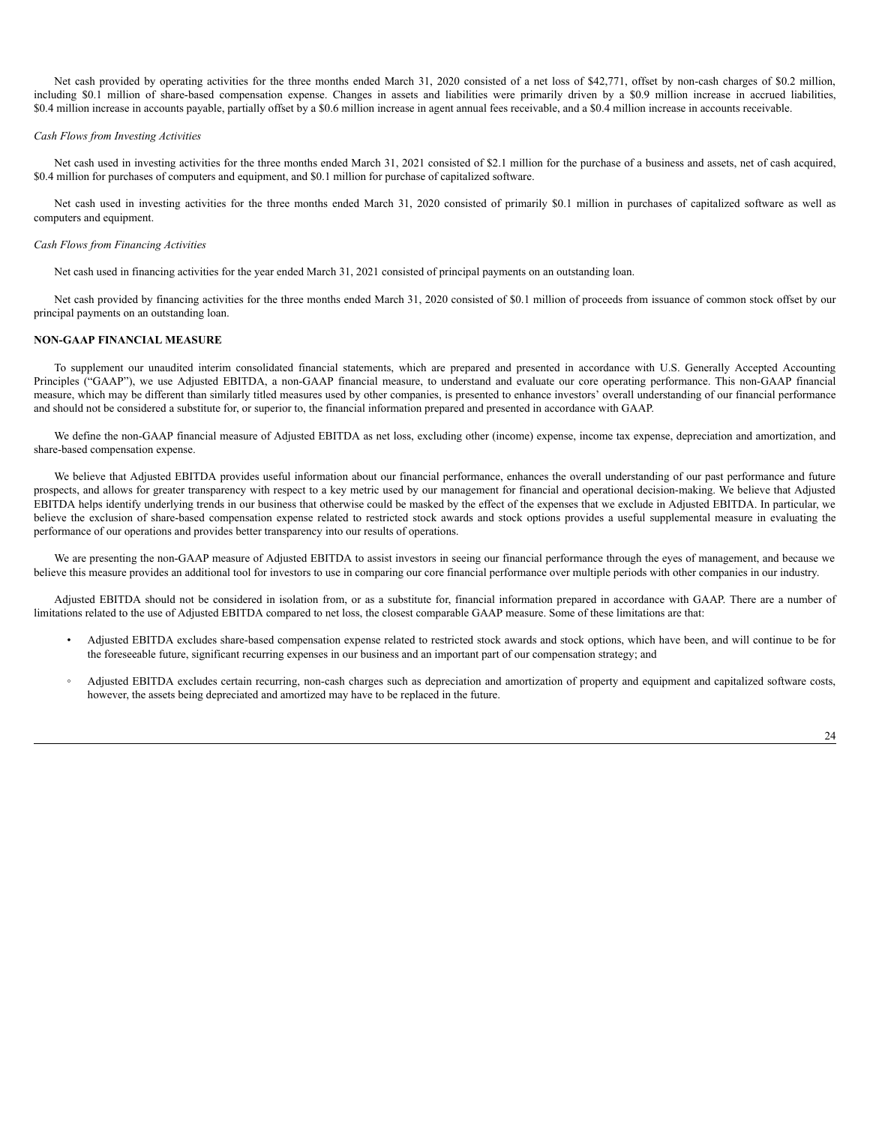Net cash provided by operating activities for the three months ended March 31, 2020 consisted of a net loss of \$42,771, offset by non-cash charges of \$0.2 million, including \$0.1 million of share-based compensation expense. Changes in assets and liabilities were primarily driven by a \$0.9 million increase in accrued liabilities, \$0.4 million increase in accounts payable, partially offset by a \$0.6 million increase in agent annual fees receivable, and a \$0.4 million increase in accounts receivable.

#### *Cash Flows from Investing Activities*

Net cash used in investing activities for the three months ended March 31, 2021 consisted of \$2.1 million for the purchase of a business and assets, net of cash acquired, \$0.4 million for purchases of computers and equipment, and \$0.1 million for purchase of capitalized software.

Net cash used in investing activities for the three months ended March 31, 2020 consisted of primarily \$0.1 million in purchases of capitalized software as well as computers and equipment.

### *Cash Flows from Financing Activities*

Net cash used in financing activities for the year ended March 31, 2021 consisted of principal payments on an outstanding loan.

Net cash provided by financing activities for the three months ended March 31, 2020 consisted of \$0.1 million of proceeds from issuance of common stock offset by our principal payments on an outstanding loan.

#### **NON-GAAP FINANCIAL MEASURE**

To supplement our unaudited interim consolidated financial statements, which are prepared and presented in accordance with U.S. Generally Accepted Accounting Principles ("GAAP"), we use Adjusted EBITDA, a non-GAAP financial measure, to understand and evaluate our core operating performance. This non-GAAP financial measure, which may be different than similarly titled measures used by other companies, is presented to enhance investors' overall understanding of our financial performance and should not be considered a substitute for, or superior to, the financial information prepared and presented in accordance with GAAP.

We define the non-GAAP financial measure of Adjusted EBITDA as net loss, excluding other (income) expense, income tax expense, depreciation and amortization, and share-based compensation expense.

We believe that Adjusted EBITDA provides useful information about our financial performance, enhances the overall understanding of our past performance and future prospects, and allows for greater transparency with respect to a key metric used by our management for financial and operational decision-making. We believe that Adjusted EBITDA helps identify underlying trends in our business that otherwise could be masked by the effect of the expenses that we exclude in Adjusted EBITDA. In particular, we believe the exclusion of share-based compensation expense related to restricted stock awards and stock options provides a useful supplemental measure in evaluating the performance of our operations and provides better transparency into our results of operations.

We are presenting the non-GAAP measure of Adjusted EBITDA to assist investors in seeing our financial performance through the eyes of management, and because we believe this measure provides an additional tool for investors to use in comparing our core financial performance over multiple periods with other companies in our industry.

Adjusted EBITDA should not be considered in isolation from, or as a substitute for, financial information prepared in accordance with GAAP. There are a number of limitations related to the use of Adjusted EBITDA compared to net loss, the closest comparable GAAP measure. Some of these limitations are that:

- Adjusted EBITDA excludes share-based compensation expense related to restricted stock awards and stock options, which have been, and will continue to be for the foreseeable future, significant recurring expenses in our business and an important part of our compensation strategy; and
- Adjusted EBITDA excludes certain recurring, non-cash charges such as depreciation and amortization of property and equipment and capitalized software costs, however, the assets being depreciated and amortized may have to be replaced in the future.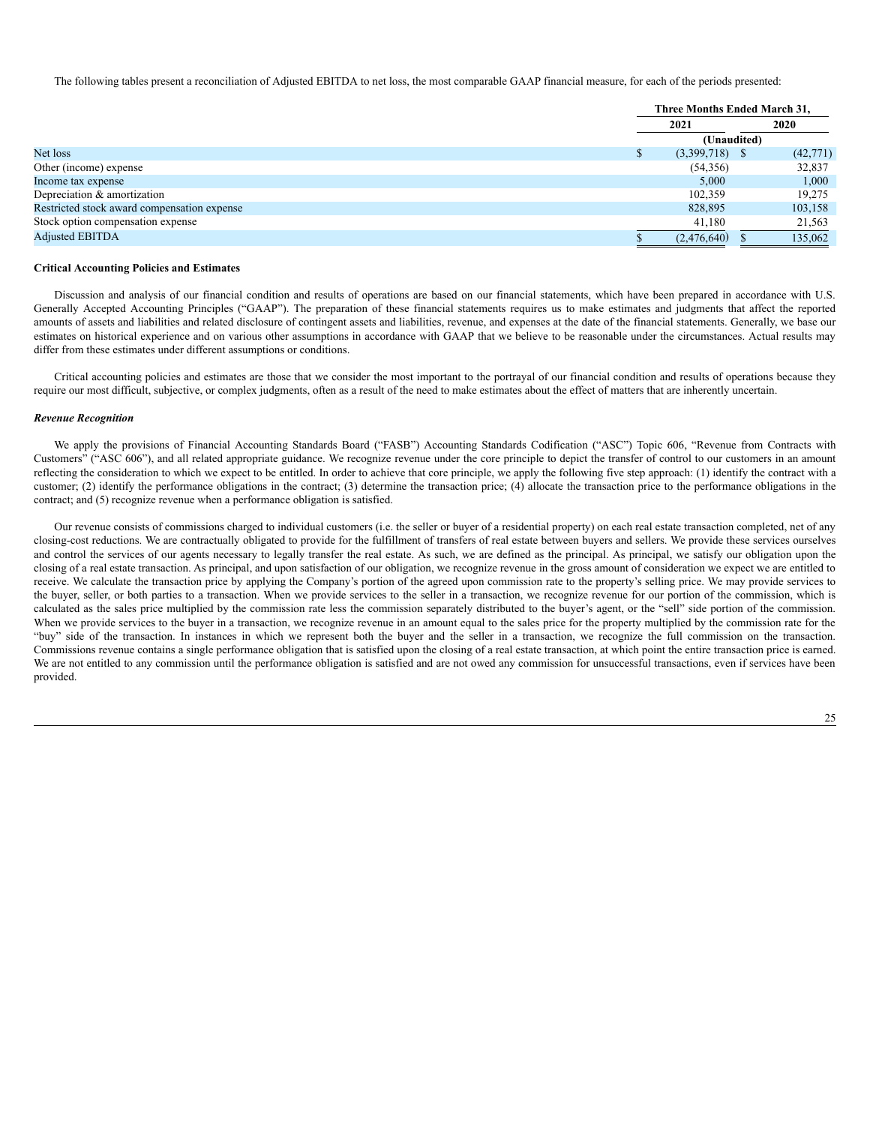The following tables present a reconciliation of Adjusted EBITDA to net loss, the most comparable GAAP financial measure, for each of the periods presented:

|                                             | <b>Three Months Ended March 31.</b> |     |           |  |  |
|---------------------------------------------|-------------------------------------|-----|-----------|--|--|
|                                             | 2020<br>2021                        |     |           |  |  |
|                                             | (Unaudited)                         |     |           |  |  |
| Net loss                                    | (3,399,718)                         | - 8 | (42, 771) |  |  |
| Other (income) expense                      | (54,356)                            |     | 32,837    |  |  |
| Income tax expense                          | 5,000                               |     | 1,000     |  |  |
| Depreciation & amortization                 | 102.359                             |     | 19.275    |  |  |
| Restricted stock award compensation expense | 828,895                             |     | 103,158   |  |  |
| Stock option compensation expense           | 41,180                              |     | 21,563    |  |  |
| <b>Adjusted EBITDA</b>                      | (2,476,640)                         |     | 135,062   |  |  |

### **Critical Accounting Policies and Estimates**

Discussion and analysis of our financial condition and results of operations are based on our financial statements, which have been prepared in accordance with U.S. Generally Accepted Accounting Principles ("GAAP"). The preparation of these financial statements requires us to make estimates and judgments that affect the reported amounts of assets and liabilities and related disclosure of contingent assets and liabilities, revenue, and expenses at the date of the financial statements. Generally, we base our estimates on historical experience and on various other assumptions in accordance with GAAP that we believe to be reasonable under the circumstances. Actual results may differ from these estimates under different assumptions or conditions.

Critical accounting policies and estimates are those that we consider the most important to the portrayal of our financial condition and results of operations because they require our most difficult, subjective, or complex judgments, often as a result of the need to make estimates about the effect of matters that are inherently uncertain.

#### *Revenue Recognition*

We apply the provisions of Financial Accounting Standards Board ("FASB") Accounting Standards Codification ("ASC") Topic 606, "Revenue from Contracts with Customers" ("ASC 606"), and all related appropriate guidance. We recognize revenue under the core principle to depict the transfer of control to our customers in an amount reflecting the consideration to which we expect to be entitled. In order to achieve that core principle, we apply the following five step approach: (1) identify the contract with a customer; (2) identify the performance obligations in the contract; (3) determine the transaction price; (4) allocate the transaction price to the performance obligations in the contract; and (5) recognize revenue when a performance obligation is satisfied.

Our revenue consists of commissions charged to individual customers (i.e. the seller or buyer of a residential property) on each real estate transaction completed, net of any closing-cost reductions. We are contractually obligated to provide for the fulfillment of transfers of real estate between buyers and sellers. We provide these services ourselves and control the services of our agents necessary to legally transfer the real estate. As such, we are defined as the principal. As principal, we satisfy our obligation upon the closing of a real estate transaction. As principal, and upon satisfaction of our obligation, we recognize revenue in the gross amount of consideration we expect we are entitled to receive. We calculate the transaction price by applying the Company's portion of the agreed upon commission rate to the property's selling price. We may provide services to the buyer, seller, or both parties to a transaction. When we provide services to the seller in a transaction, we recognize revenue for our portion of the commission, which is calculated as the sales price multiplied by the commission rate less the commission separately distributed to the buyer's agent, or the "sell" side portion of the commission. When we provide services to the buyer in a transaction, we recognize revenue in an amount equal to the sales price for the property multiplied by the commission rate for the "buy" side of the transaction. In instances in which we represent both the buyer and the seller in a transaction, we recognize the full commission on the transaction. Commissions revenue contains a single performance obligation that is satisfied upon the closing of a real estate transaction, at which point the entire transaction price is earned. We are not entitled to any commission until the performance obligation is satisfied and are not owed any commission for unsuccessful transactions, even if services have been provided.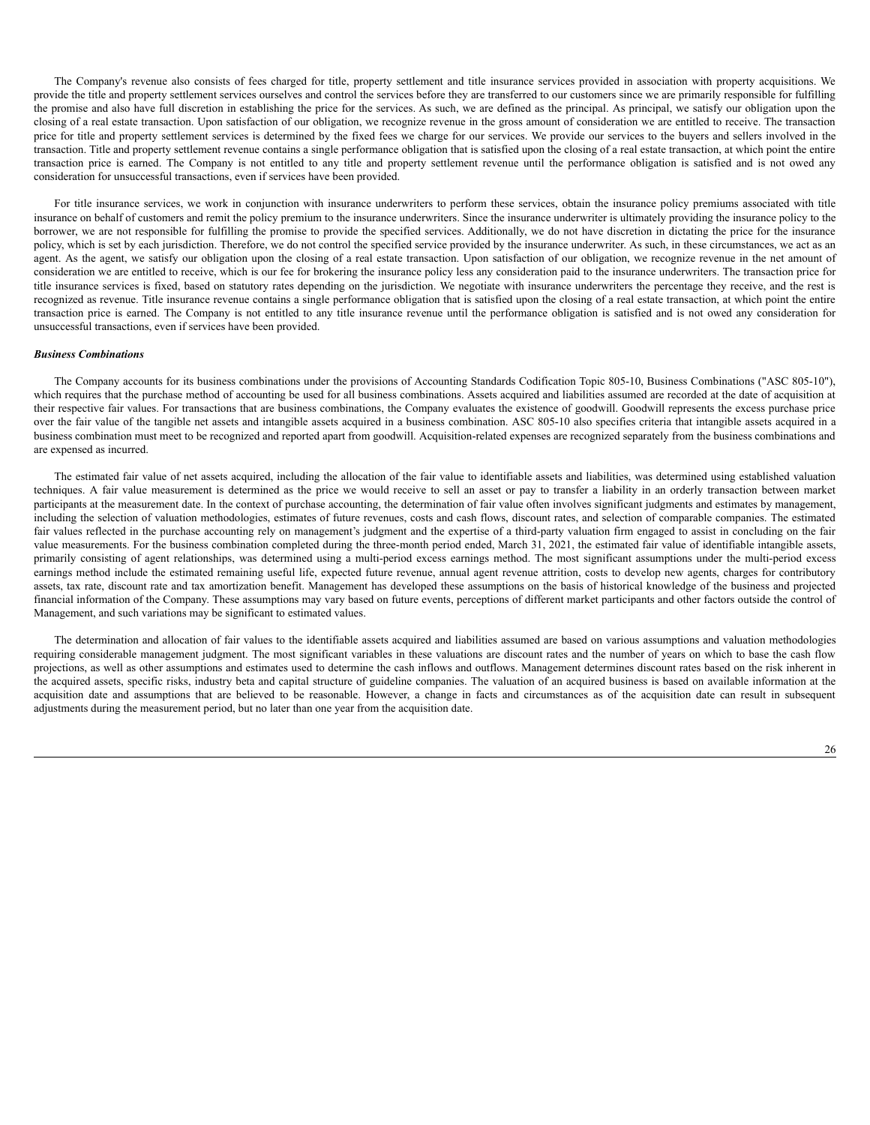The Company's revenue also consists of fees charged for title, property settlement and title insurance services provided in association with property acquisitions. We provide the title and property settlement services ourselves and control the services before they are transferred to our customers since we are primarily responsible for fulfilling the promise and also have full discretion in establishing the price for the services. As such, we are defined as the principal. As principal, we satisfy our obligation upon the closing of a real estate transaction. Upon satisfaction of our obligation, we recognize revenue in the gross amount of consideration we are entitled to receive. The transaction price for title and property settlement services is determined by the fixed fees we charge for our services. We provide our services to the buyers and sellers involved in the transaction. Title and property settlement revenue contains a single performance obligation that is satisfied upon the closing of a real estate transaction, at which point the entire transaction price is earned. The Company is not entitled to any title and property settlement revenue until the performance obligation is satisfied and is not owed any consideration for unsuccessful transactions, even if services have been provided.

For title insurance services, we work in conjunction with insurance underwriters to perform these services, obtain the insurance policy premiums associated with title insurance on behalf of customers and remit the policy premium to the insurance underwriters. Since the insurance underwriter is ultimately providing the insurance policy to the borrower, we are not responsible for fulfilling the promise to provide the specified services. Additionally, we do not have discretion in dictating the price for the insurance policy, which is set by each jurisdiction. Therefore, we do not control the specified service provided by the insurance underwriter. As such, in these circumstances, we act as an agent. As the agent, we satisfy our obligation upon the closing of a real estate transaction. Upon satisfaction of our obligation, we recognize revenue in the net amount of consideration we are entitled to receive, which is our fee for brokering the insurance policy less any consideration paid to the insurance underwriters. The transaction price for title insurance services is fixed, based on statutory rates depending on the jurisdiction. We negotiate with insurance underwriters the percentage they receive, and the rest is recognized as revenue. Title insurance revenue contains a single performance obligation that is satisfied upon the closing of a real estate transaction, at which point the entire transaction price is earned. The Company is not entitled to any title insurance revenue until the performance obligation is satisfied and is not owed any consideration for unsuccessful transactions, even if services have been provided.

### *Business Combinations*

The Company accounts for its business combinations under the provisions of Accounting Standards Codification Topic 805-10, Business Combinations ("ASC 805-10"), which requires that the purchase method of accounting be used for all business combinations. Assets acquired and liabilities assumed are recorded at the date of acquisition at their respective fair values. For transactions that are business combinations, the Company evaluates the existence of goodwill. Goodwill represents the excess purchase price over the fair value of the tangible net assets and intangible assets acquired in a business combination. ASC 805-10 also specifies criteria that intangible assets acquired in a business combination must meet to be recognized and reported apart from goodwill. Acquisition-related expenses are recognized separately from the business combinations and are expensed as incurred.

The estimated fair value of net assets acquired, including the allocation of the fair value to identifiable assets and liabilities, was determined using established valuation techniques. A fair value measurement is determined as the price we would receive to sell an asset or pay to transfer a liability in an orderly transaction between market participants at the measurement date. In the context of purchase accounting, the determination of fair value often involves significant judgments and estimates by management, including the selection of valuation methodologies, estimates of future revenues, costs and cash flows, discount rates, and selection of comparable companies. The estimated fair values reflected in the purchase accounting rely on management's judgment and the expertise of a third-party valuation firm engaged to assist in concluding on the fair value measurements. For the business combination completed during the three-month period ended, March 31, 2021, the estimated fair value of identifiable intangible assets, primarily consisting of agent relationships, was determined using a multi-period excess earnings method. The most significant assumptions under the multi-period excess earnings method include the estimated remaining useful life, expected future revenue, annual agent revenue attrition, costs to develop new agents, charges for contributory assets, tax rate, discount rate and tax amortization benefit. Management has developed these assumptions on the basis of historical knowledge of the business and projected financial information of the Company. These assumptions may vary based on future events, perceptions of different market participants and other factors outside the control of Management, and such variations may be significant to estimated values.

The determination and allocation of fair values to the identifiable assets acquired and liabilities assumed are based on various assumptions and valuation methodologies requiring considerable management judgment. The most significant variables in these valuations are discount rates and the number of years on which to base the cash flow projections, as well as other assumptions and estimates used to determine the cash inflows and outflows. Management determines discount rates based on the risk inherent in the acquired assets, specific risks, industry beta and capital structure of guideline companies. The valuation of an acquired business is based on available information at the acquisition date and assumptions that are believed to be reasonable. However, a change in facts and circumstances as of the acquisition date can result in subsequent adjustments during the measurement period, but no later than one year from the acquisition date.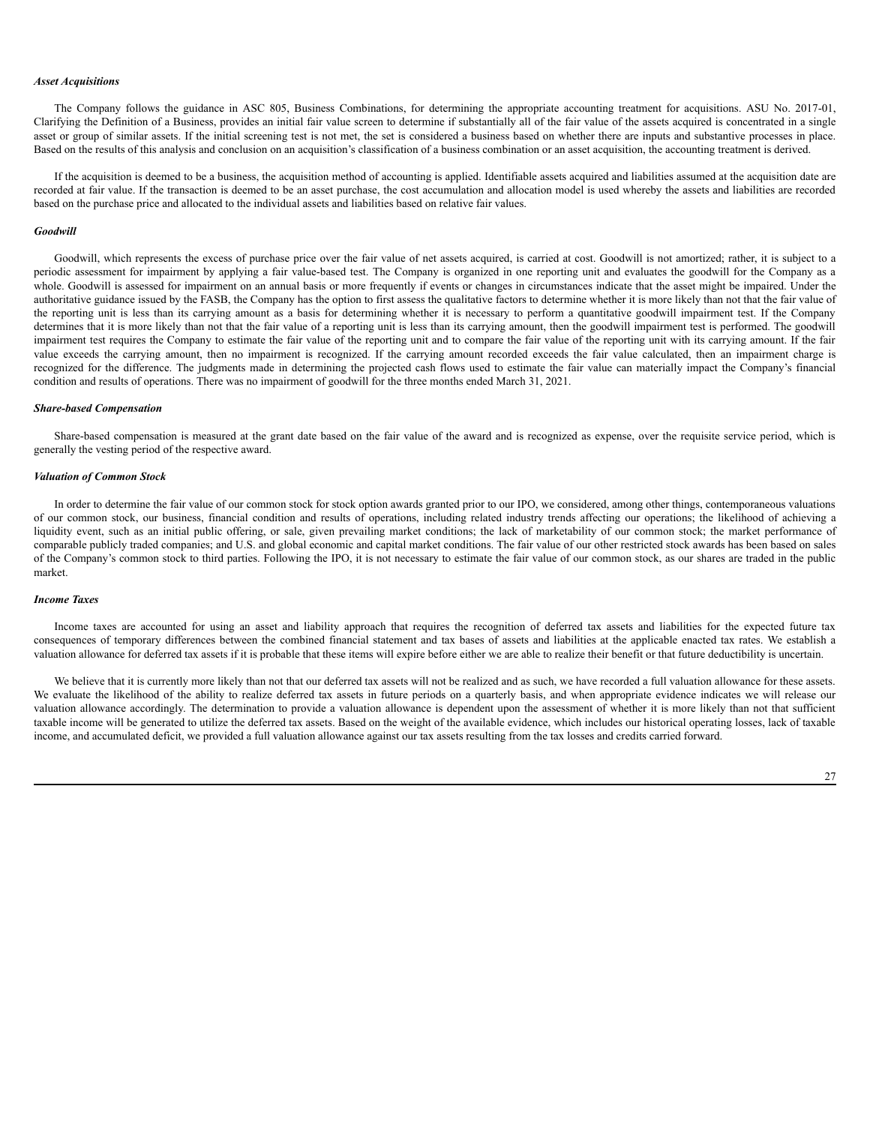#### *Asset Acquisitions*

The Company follows the guidance in ASC 805, Business Combinations, for determining the appropriate accounting treatment for acquisitions. ASU No. 2017-01, Clarifying the Definition of a Business, provides an initial fair value screen to determine if substantially all of the fair value of the assets acquired is concentrated in a single asset or group of similar assets. If the initial screening test is not met, the set is considered a business based on whether there are inputs and substantive processes in place. Based on the results of this analysis and conclusion on an acquisition's classification of a business combination or an asset acquisition, the accounting treatment is derived.

If the acquisition is deemed to be a business, the acquisition method of accounting is applied. Identifiable assets acquired and liabilities assumed at the acquisition date are recorded at fair value. If the transaction is deemed to be an asset purchase, the cost accumulation and allocation model is used whereby the assets and liabilities are recorded based on the purchase price and allocated to the individual assets and liabilities based on relative fair values.

### *Goodwill*

Goodwill, which represents the excess of purchase price over the fair value of net assets acquired, is carried at cost. Goodwill is not amortized; rather, it is subject to a periodic assessment for impairment by applying a fair value-based test. The Company is organized in one reporting unit and evaluates the goodwill for the Company as a whole. Goodwill is assessed for impairment on an annual basis or more frequently if events or changes in circumstances indicate that the asset might be impaired. Under the authoritative guidance issued by the FASB, the Company has the option to first assess the qualitative factors to determine whether it is more likely than not that the fair value of the reporting unit is less than its carrying amount as a basis for determining whether it is necessary to perform a quantitative goodwill impairment test. If the Company determines that it is more likely than not that the fair value of a reporting unit is less than its carrying amount, then the goodwill impairment test is performed. The goodwill impairment test requires the Company to estimate the fair value of the reporting unit and to compare the fair value of the reporting unit with its carrying amount. If the fair value exceeds the carrying amount, then no impairment is recognized. If the carrying amount recorded exceeds the fair value calculated, then an impairment charge is recognized for the difference. The judgments made in determining the projected cash flows used to estimate the fair value can materially impact the Company's financial condition and results of operations. There was no impairment of goodwill for the three months ended March 31, 2021.

### *Share-based Compensation*

Share-based compensation is measured at the grant date based on the fair value of the award and is recognized as expense, over the requisite service period, which is generally the vesting period of the respective award.

### *Valuation of Common Stock*

In order to determine the fair value of our common stock for stock option awards granted prior to our IPO, we considered, among other things, contemporaneous valuations of our common stock, our business, financial condition and results of operations, including related industry trends affecting our operations; the likelihood of achieving a liquidity event, such as an initial public offering, or sale, given prevailing market conditions; the lack of marketability of our common stock; the market performance of comparable publicly traded companies; and U.S. and global economic and capital market conditions. The fair value of our other restricted stock awards has been based on sales of the Company's common stock to third parties. Following the IPO, it is not necessary to estimate the fair value of our common stock, as our shares are traded in the public market.

### *Income Taxes*

Income taxes are accounted for using an asset and liability approach that requires the recognition of deferred tax assets and liabilities for the expected future tax consequences of temporary differences between the combined financial statement and tax bases of assets and liabilities at the applicable enacted tax rates. We establish a valuation allowance for deferred tax assets if it is probable that these items will expire before either we are able to realize their benefit or that future deductibility is uncertain.

We believe that it is currently more likely than not that our deferred tax assets will not be realized and as such, we have recorded a full valuation allowance for these assets. We evaluate the likelihood of the ability to realize deferred tax assets in future periods on a quarterly basis, and when appropriate evidence indicates we will release our valuation allowance accordingly. The determination to provide a valuation allowance is dependent upon the assessment of whether it is more likely than not that sufficient taxable income will be generated to utilize the deferred tax assets. Based on the weight of the available evidence, which includes our historical operating losses, lack of taxable income, and accumulated deficit, we provided a full valuation allowance against our tax assets resulting from the tax losses and credits carried forward.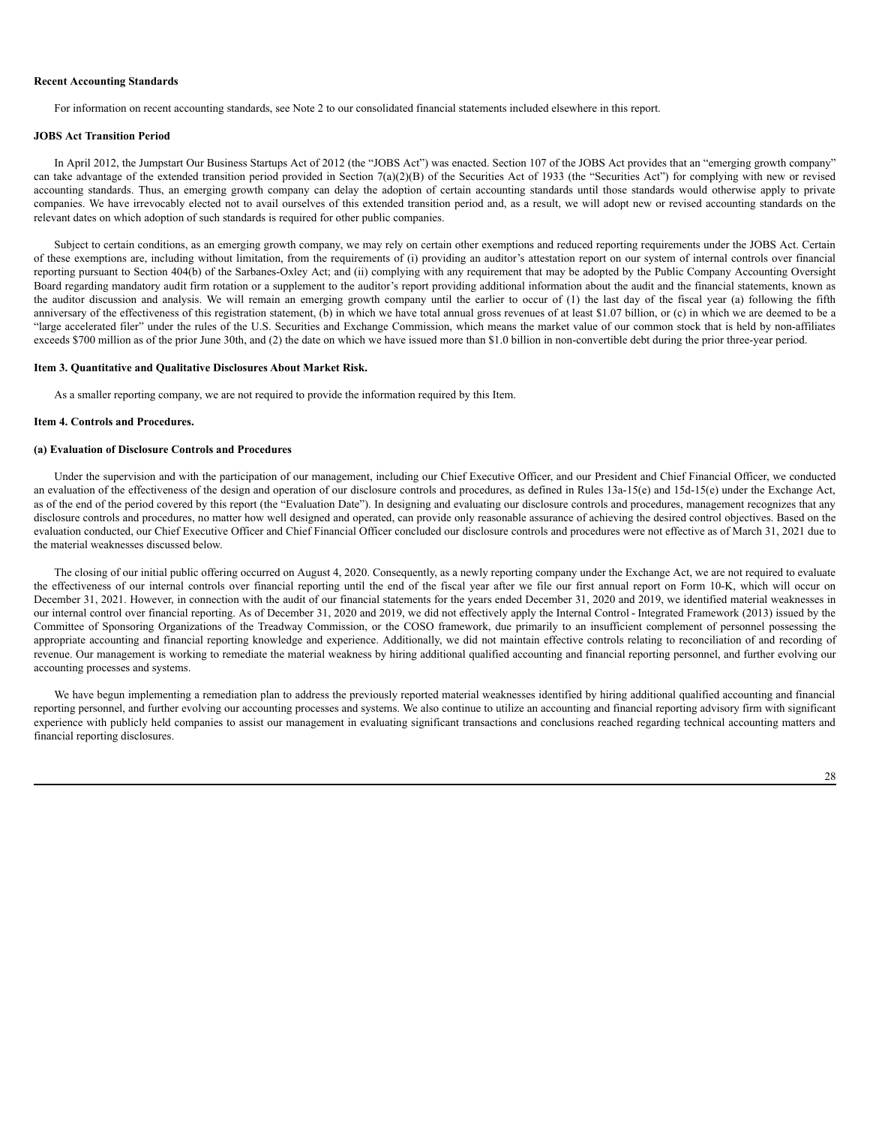#### **Recent Accounting Standards**

For information on recent accounting standards, see Note 2 to our consolidated financial statements included elsewhere in this report.

### **JOBS Act Transition Period**

In April 2012, the Jumpstart Our Business Startups Act of 2012 (the "JOBS Act") was enacted. Section 107 of the JOBS Act provides that an "emerging growth company" can take advantage of the extended transition period provided in Section 7(a)(2)(B) of the Securities Act of 1933 (the "Securities Act") for complying with new or revised accounting standards. Thus, an emerging growth company can delay the adoption of certain accounting standards until those standards would otherwise apply to private companies. We have irrevocably elected not to avail ourselves of this extended transition period and, as a result, we will adopt new or revised accounting standards on the relevant dates on which adoption of such standards is required for other public companies.

Subject to certain conditions, as an emerging growth company, we may rely on certain other exemptions and reduced reporting requirements under the JOBS Act. Certain of these exemptions are, including without limitation, from the requirements of (i) providing an auditor's attestation report on our system of internal controls over financial reporting pursuant to Section 404(b) of the Sarbanes-Oxley Act; and (ii) complying with any requirement that may be adopted by the Public Company Accounting Oversight Board regarding mandatory audit firm rotation or a supplement to the auditor's report providing additional information about the audit and the financial statements, known as the auditor discussion and analysis. We will remain an emerging growth company until the earlier to occur of (1) the last day of the fiscal year (a) following the fifth anniversary of the effectiveness of this registration statement, (b) in which we have total annual gross revenues of at least \$1.07 billion, or (c) in which we are deemed to be a "large accelerated filer" under the rules of the U.S. Securities and Exchange Commission, which means the market value of our common stock that is held by non-affiliates exceeds \$700 million as of the prior June 30th, and (2) the date on which we have issued more than \$1.0 billion in non-convertible debt during the prior three-year period.

### <span id="page-27-0"></span>**Item 3. Quantitative and Qualitative Disclosures About Market Risk.**

As a smaller reporting company, we are not required to provide the information required by this Item.

#### <span id="page-27-1"></span>**Item 4. Controls and Procedures.**

#### **(a) Evaluation of Disclosure Controls and Procedures**

Under the supervision and with the participation of our management, including our Chief Executive Officer, and our President and Chief Financial Officer, we conducted an evaluation of the effectiveness of the design and operation of our disclosure controls and procedures, as defined in Rules 13a-15(e) and 15d-15(e) under the Exchange Act, as of the end of the period covered by this report (the "Evaluation Date"). In designing and evaluating our disclosure controls and procedures, management recognizes that any disclosure controls and procedures, no matter how well designed and operated, can provide only reasonable assurance of achieving the desired control objectives. Based on the evaluation conducted, our Chief Executive Officer and Chief Financial Officer concluded our disclosure controls and procedures were not effective as of March 31, 2021 due to the material weaknesses discussed below.

The closing of our initial public offering occurred on August 4, 2020. Consequently, as a newly reporting company under the Exchange Act, we are not required to evaluate the effectiveness of our internal controls over financial reporting until the end of the fiscal year after we file our first annual report on Form 10-K, which will occur on December 31, 2021. However, in connection with the audit of our financial statements for the years ended December 31, 2020 and 2019, we identified material weaknesses in our internal control over financial reporting. As of December 31, 2020 and 2019, we did not effectively apply the Internal Control - Integrated Framework (2013) issued by the Committee of Sponsoring Organizations of the Treadway Commission, or the COSO framework, due primarily to an insufficient complement of personnel possessing the appropriate accounting and financial reporting knowledge and experience. Additionally, we did not maintain effective controls relating to reconciliation of and recording of revenue. Our management is working to remediate the material weakness by hiring additional qualified accounting and financial reporting personnel, and further evolving our accounting processes and systems.

We have begun implementing a remediation plan to address the previously reported material weaknesses identified by hiring additional qualified accounting and financial reporting personnel, and further evolving our accounting processes and systems. We also continue to utilize an accounting and financial reporting advisory firm with significant experience with publicly held companies to assist our management in evaluating significant transactions and conclusions reached regarding technical accounting matters and financial reporting disclosures.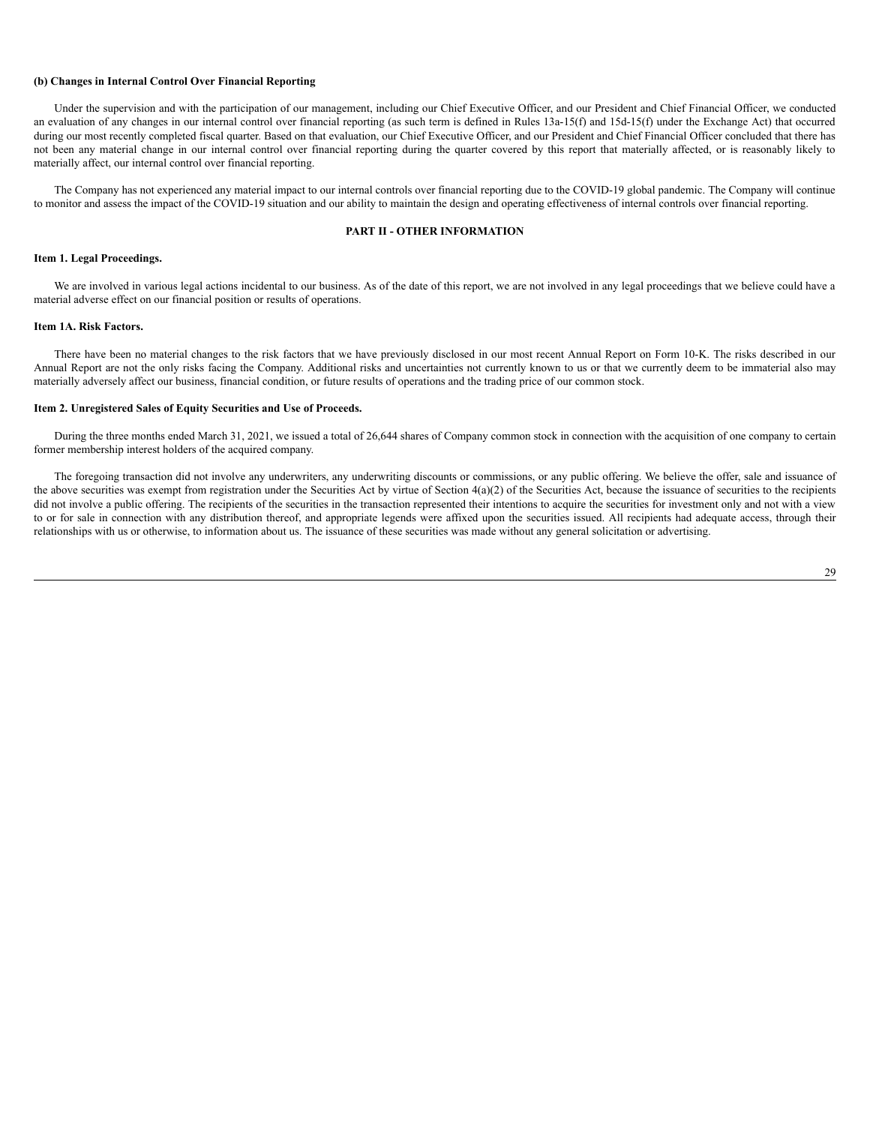#### **(b) Changes in Internal Control Over Financial Reporting**

Under the supervision and with the participation of our management, including our Chief Executive Officer, and our President and Chief Financial Officer, we conducted an evaluation of any changes in our internal control over financial reporting (as such term is defined in Rules 13a-15(f) and 15d-15(f) under the Exchange Act) that occurred during our most recently completed fiscal quarter. Based on that evaluation, our Chief Executive Officer, and our President and Chief Financial Officer concluded that there has not been any material change in our internal control over financial reporting during the quarter covered by this report that materially affected, or is reasonably likely to materially affect, our internal control over financial reporting.

The Company has not experienced any material impact to our internal controls over financial reporting due to the COVID-19 global pandemic. The Company will continue to monitor and assess the impact of the COVID-19 situation and our ability to maintain the design and operating effectiveness of internal controls over financial reporting.

#### **PART II - OTHER INFORMATION**

### <span id="page-28-1"></span><span id="page-28-0"></span>**Item 1. Legal Proceedings.**

We are involved in various legal actions incidental to our business. As of the date of this report, we are not involved in any legal proceedings that we believe could have a material adverse effect on our financial position or results of operations.

### <span id="page-28-2"></span>**Item 1A. Risk Factors.**

There have been no material changes to the risk factors that we have previously disclosed in our most recent Annual Report on Form 10-K. The risks described in our Annual Report are not the only risks facing the Company. Additional risks and uncertainties not currently known to us or that we currently deem to be immaterial also may materially adversely affect our business, financial condition, or future results of operations and the trading price of our common stock.

### <span id="page-28-3"></span>**Item 2. Unregistered Sales of Equity Securities and Use of Proceeds.**

During the three months ended March 31, 2021, we issued a total of 26,644 shares of Company common stock in connection with the acquisition of one company to certain former membership interest holders of the acquired company.

The foregoing transaction did not involve any underwriters, any underwriting discounts or commissions, or any public offering. We believe the offer, sale and issuance of the above securities was exempt from registration under the Securities Act by virtue of Section  $4(a)(2)$  of the Securities Act, because the issuance of securities to the recipients did not involve a public offering. The recipients of the securities in the transaction represented their intentions to acquire the securities for investment only and not with a view to or for sale in connection with any distribution thereof, and appropriate legends were affixed upon the securities issued. All recipients had adequate access, through their relationships with us or otherwise, to information about us. The issuance of these securities was made without any general solicitation or advertising.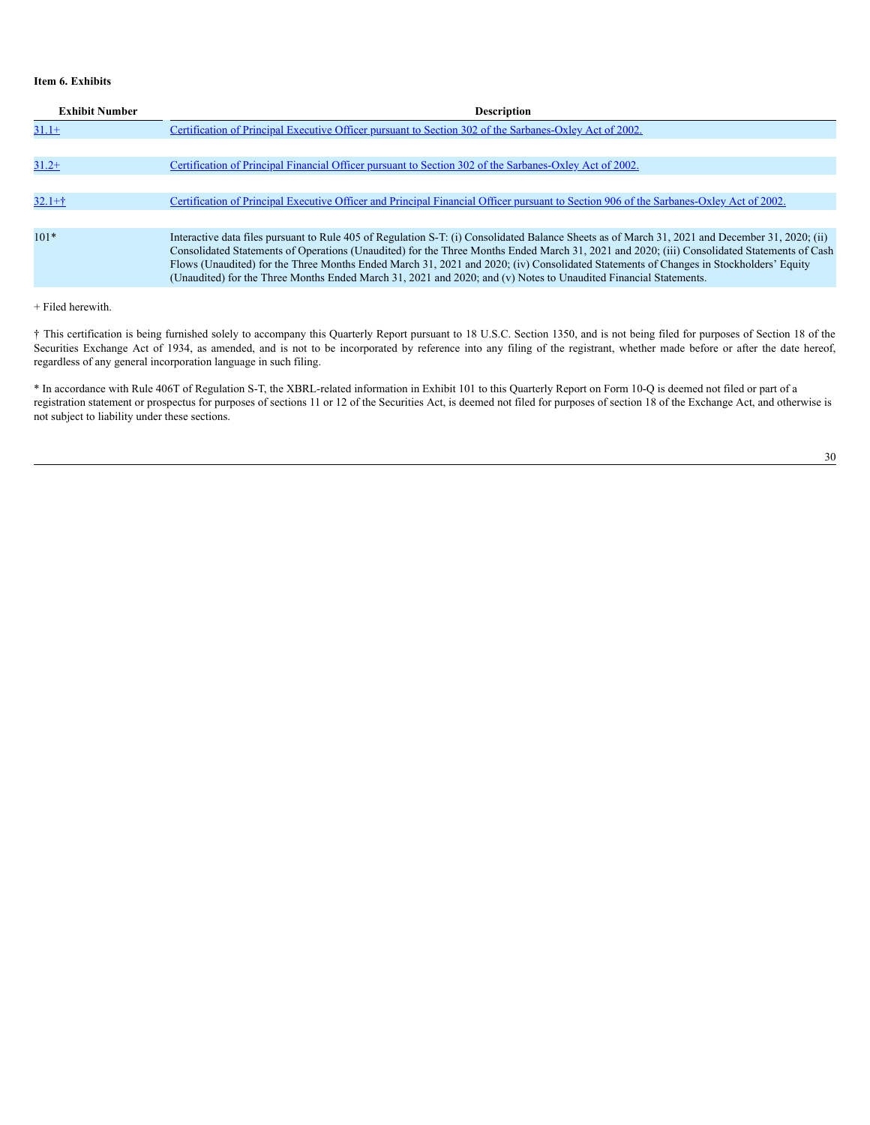## <span id="page-29-0"></span>**Item 6. Exhibits**

| <b>Exhibit Number</b> | <b>Description</b>                                                                                                                                                                                                                                                                                                                                                                                                                                                                                                                                          |
|-----------------------|-------------------------------------------------------------------------------------------------------------------------------------------------------------------------------------------------------------------------------------------------------------------------------------------------------------------------------------------------------------------------------------------------------------------------------------------------------------------------------------------------------------------------------------------------------------|
| $31.1+$               | Certification of Principal Executive Officer pursuant to Section 302 of the Sarbanes-Oxley Act of 2002.                                                                                                                                                                                                                                                                                                                                                                                                                                                     |
|                       |                                                                                                                                                                                                                                                                                                                                                                                                                                                                                                                                                             |
| $31.2+$               | <u>Certification of Principal Financial Officer pursuant to Section 302 of the Sarbanes-Oxley Act of 2002.</u>                                                                                                                                                                                                                                                                                                                                                                                                                                              |
|                       |                                                                                                                                                                                                                                                                                                                                                                                                                                                                                                                                                             |
| $32.1 +$ †            | Certification of Principal Executive Officer and Principal Financial Officer pursuant to Section 906 of the Sarbanes-Oxley Act of 2002.                                                                                                                                                                                                                                                                                                                                                                                                                     |
|                       |                                                                                                                                                                                                                                                                                                                                                                                                                                                                                                                                                             |
| $101*$                | Interactive data files pursuant to Rule 405 of Regulation S-T: (i) Consolidated Balance Sheets as of March 31, 2021 and December 31, 2020; (ii)<br>Consolidated Statements of Operations (Unaudited) for the Three Months Ended March 31, 2021 and 2020; (iii) Consolidated Statements of Cash<br>Flows (Unaudited) for the Three Months Ended March 31, 2021 and 2020; (iv) Consolidated Statements of Changes in Stockholders' Equity<br>(Unaudited) for the Three Months Ended March 31, 2021 and 2020; and (v) Notes to Unaudited Financial Statements. |

+ Filed herewith.

† This certification is being furnished solely to accompany this Quarterly Report pursuant to 18 U.S.C. Section 1350, and is not being filed for purposes of Section 18 of the Securities Exchange Act of 1934, as amended, and is not to be incorporated by reference into any filing of the registrant, whether made before or after the date hereof, regardless of any general incorporation language in such filing.

\* In accordance with Rule 406T of Regulation S-T, the XBRL-related information in Exhibit 101 to this Quarterly Report on Form 10-Q is deemed not filed or part of a registration statement or prospectus for purposes of sections 11 or 12 of the Securities Act, is deemed not filed for purposes of section 18 of the Exchange Act, and otherwise is not subject to liability under these sections.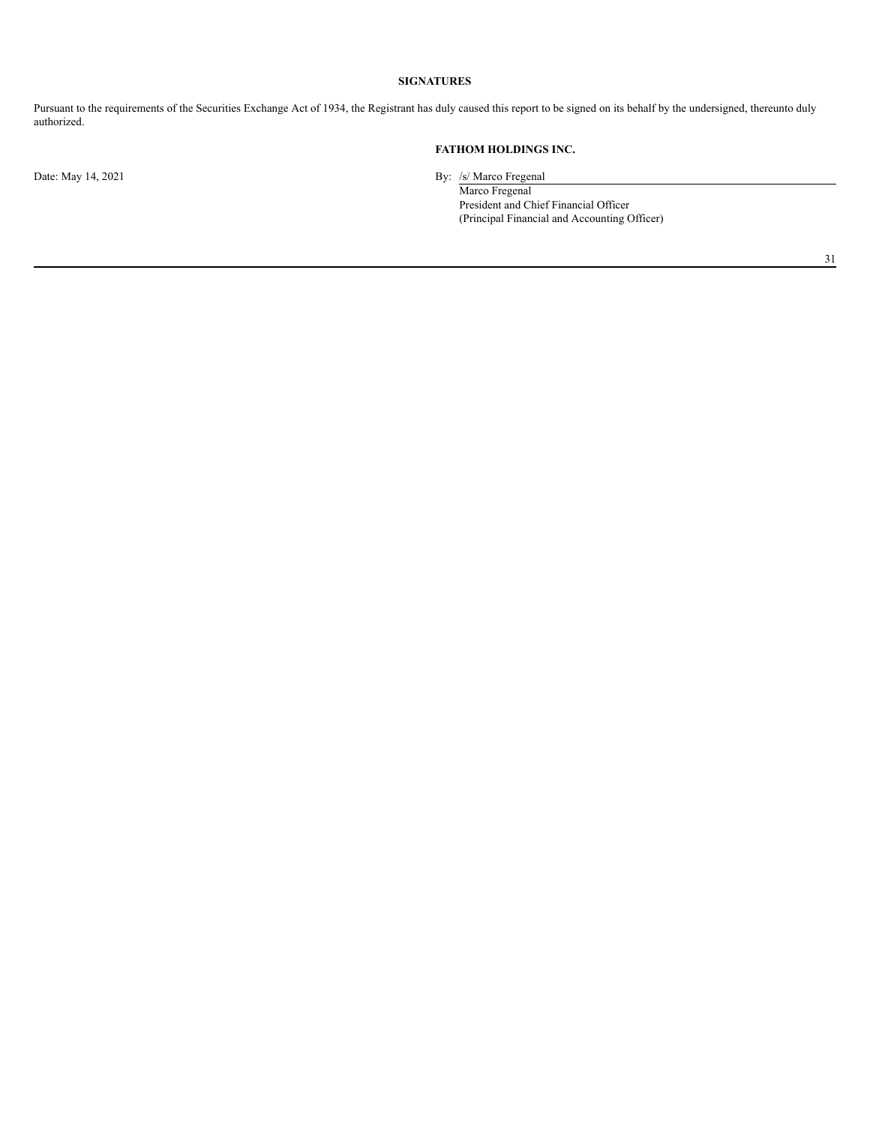## **SIGNATURES**

<span id="page-30-0"></span>Pursuant to the requirements of the Securities Exchange Act of 1934, the Registrant has duly caused this report to be signed on its behalf by the undersigned, thereunto duly authorized.

# **FATHOM HOLDINGS INC.**

Date: May 14, 2021 By: /s/ Marco Fregenal

Marco Fregenal President and Chief Financial Officer (Principal Financial and Accounting Officer)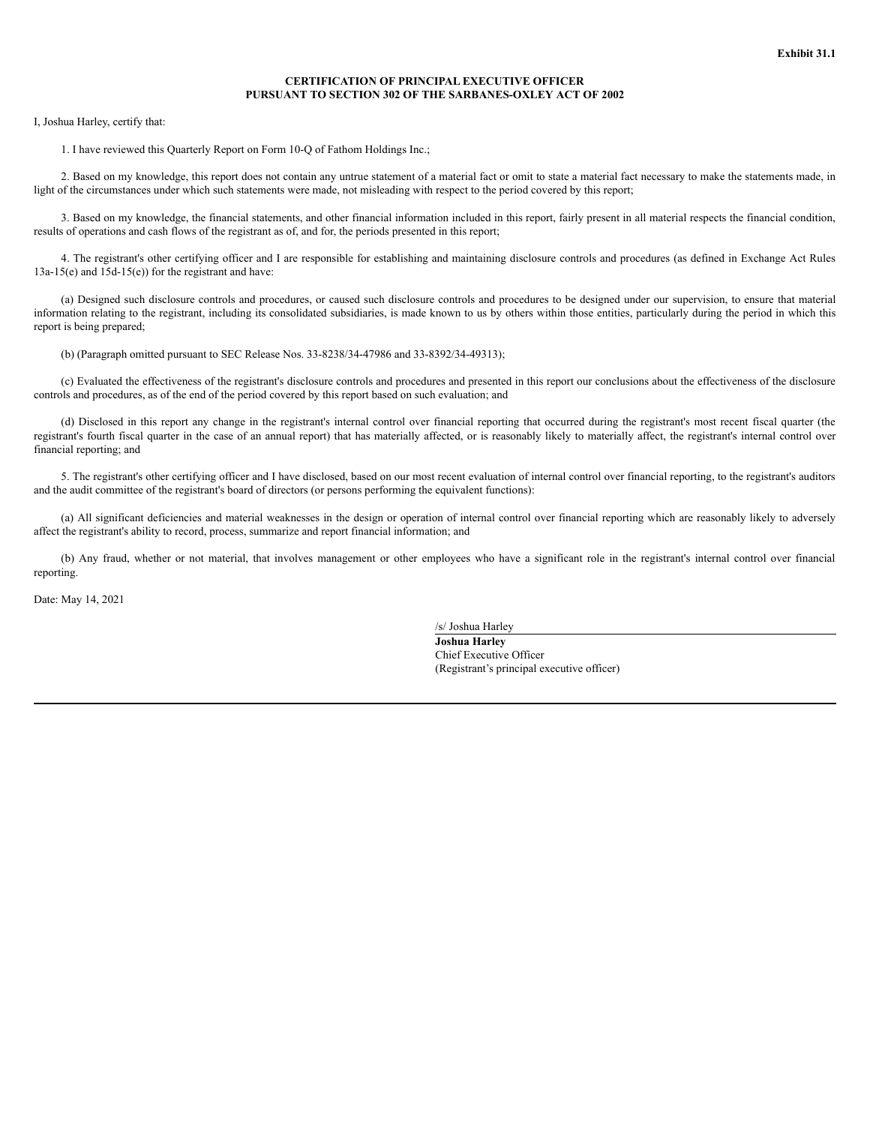### **CERTIFICATION OF PRINCIPAL EXECUTIVE OFFICER PURSUANT TO SECTION 302 OF THE SARBANES-OXLEY ACT OF 2002**

I, Joshua Harley, certify that:

1. I have reviewed this Quarterly Report on Form 10-Q of Fathom Holdings Inc.;

2. Based on my knowledge, this report does not contain any untrue statement of a material fact or omit to state a material fact necessary to make the statements made, in light of the circumstances under which such statements were made, not misleading with respect to the period covered by this report;

3. Based on my knowledge, the financial statements, and other financial information included in this report, fairly present in all material respects the financial condition, results of operations and cash flows of the registrant as of, and for, the periods presented in this report;

4. The registrant's other certifying officer and I are responsible for establishing and maintaining disclosure controls and procedures (as defined in Exchange Act Rules 13a-15(e) and 15d-15(e)) for the registrant and have:

(a) Designed such disclosure controls and procedures, or caused such disclosure controls and procedures to be designed under our supervision, to ensure that material information relating to the registrant, including its consolidated subsidiaries, is made known to us by others within those entities, particularly during the period in which this report is being prepared;

(b) (Paragraph omitted pursuant to SEC Release Nos. 33-8238/34-47986 and 33-8392/34-49313);

(c) Evaluated the effectiveness of the registrant's disclosure controls and procedures and presented in this report our conclusions about the effectiveness of the disclosure controls and procedures, as of the end of the period covered by this report based on such evaluation; and

(d) Disclosed in this report any change in the registrant's internal control over financial reporting that occurred during the registrant's most recent fiscal quarter (the registrant's fourth fiscal quarter in the case of an annual report) that has materially affected, or is reasonably likely to materially affect, the registrant's internal control over financial reporting; and

5. The registrant's other certifying officer and I have disclosed, based on our most recent evaluation of internal control over financial reporting, to the registrant's auditors and the audit committee of the registrant's board of directors (or persons performing the equivalent functions):

(a) All significant deficiencies and material weaknesses in the design or operation of internal control over financial reporting which are reasonably likely to adversely affect the registrant's ability to record, process, summarize and report financial information; and

(b) Any fraud, whether or not material, that involves management or other employees who have a significant role in the registrant's internal control over financial reporting.

Date: May 14, 2021

/s/ Joshua Harley

**Joshua Harley** Chief Executive Officer (Registrant's principal executive officer)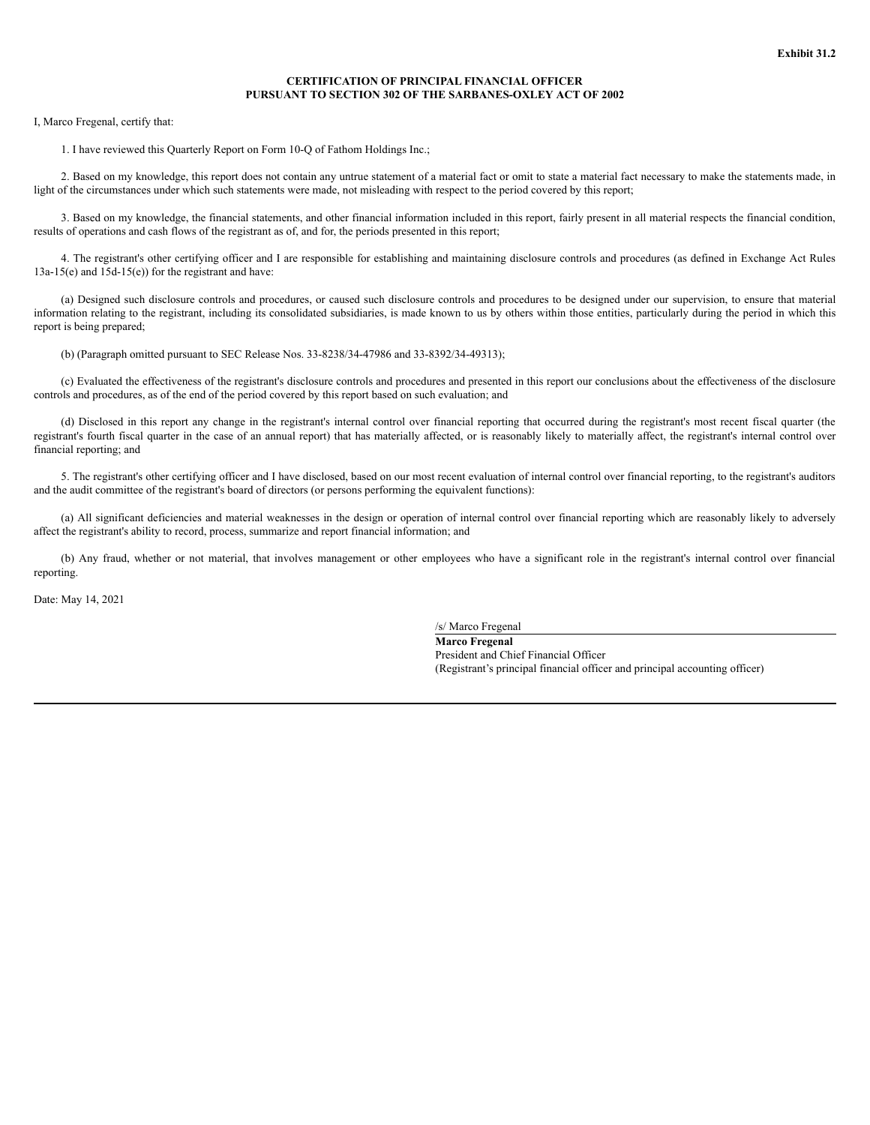### **CERTIFICATION OF PRINCIPAL FINANCIAL OFFICER PURSUANT TO SECTION 302 OF THE SARBANES-OXLEY ACT OF 2002**

I, Marco Fregenal, certify that:

1. I have reviewed this Quarterly Report on Form 10-Q of Fathom Holdings Inc.;

2. Based on my knowledge, this report does not contain any untrue statement of a material fact or omit to state a material fact necessary to make the statements made, in light of the circumstances under which such statements were made, not misleading with respect to the period covered by this report;

3. Based on my knowledge, the financial statements, and other financial information included in this report, fairly present in all material respects the financial condition, results of operations and cash flows of the registrant as of, and for, the periods presented in this report;

4. The registrant's other certifying officer and I are responsible for establishing and maintaining disclosure controls and procedures (as defined in Exchange Act Rules 13a-15(e) and 15d-15(e)) for the registrant and have:

(a) Designed such disclosure controls and procedures, or caused such disclosure controls and procedures to be designed under our supervision, to ensure that material information relating to the registrant, including its consolidated subsidiaries, is made known to us by others within those entities, particularly during the period in which this report is being prepared;

(b) (Paragraph omitted pursuant to SEC Release Nos. 33-8238/34-47986 and 33-8392/34-49313);

(c) Evaluated the effectiveness of the registrant's disclosure controls and procedures and presented in this report our conclusions about the effectiveness of the disclosure controls and procedures, as of the end of the period covered by this report based on such evaluation; and

(d) Disclosed in this report any change in the registrant's internal control over financial reporting that occurred during the registrant's most recent fiscal quarter (the registrant's fourth fiscal quarter in the case of an annual report) that has materially affected, or is reasonably likely to materially affect, the registrant's internal control over financial reporting; and

5. The registrant's other certifying officer and I have disclosed, based on our most recent evaluation of internal control over financial reporting, to the registrant's auditors and the audit committee of the registrant's board of directors (or persons performing the equivalent functions):

(a) All significant deficiencies and material weaknesses in the design or operation of internal control over financial reporting which are reasonably likely to adversely affect the registrant's ability to record, process, summarize and report financial information; and

(b) Any fraud, whether or not material, that involves management or other employees who have a significant role in the registrant's internal control over financial reporting.

Date: May 14, 2021

/s/ Marco Fregenal **Marco Fregenal** President and Chief Financial Officer (Registrant's principal financial officer and principal accounting officer)